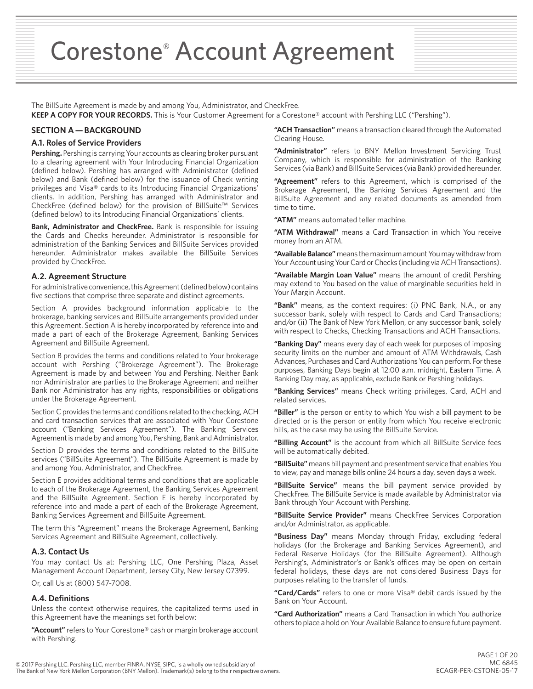Corestone® Account Agreement

The BillSuite Agreement is made by and among You, Administrator, and CheckFree.

**KEEP A COPY FOR YOUR RECORDS.** This is Your Customer Agreement for a Corestone® account with Pershing LLC ("Pershing").

# **SECTION A — BACKGROUND**

### **A.1. Roles of Service Providers**

**Pershing.** Pershing is carrying Your accounts as clearing broker pursuant to a clearing agreement with Your Introducing Financial Organization (defined below). Pershing has arranged with Administrator (defined below) and Bank (defined below) for the issuance of Check writing privileges and Visa® cards to its Introducing Financial Organizations' clients. In addition, Pershing has arranged with Administrator and CheckFree (defined below) for the provision of BillSuite™ Services (defined below) to its Introducing Financial Organizations' clients.

**Bank, Administrator and CheckFree.** Bank is responsible for issuing the Cards and Checks hereunder. Administrator is responsible for administration of the Banking Services and BillSuite Services provided hereunder. Administrator makes available the BillSuite Services provided by CheckFree.

#### **A.2. Agreement Structure**

For administrative convenience, this Agreement (defined below) contains five sections that comprise three separate and distinct agreements.

Section A provides background information applicable to the brokerage, banking services and BillSuite arrangements provided under this Agreement. Section A is hereby incorporated by reference into and made a part of each of the Brokerage Agreement, Banking Services Agreement and BillSuite Agreement.

Section B provides the terms and conditions related to Your brokerage account with Pershing ("Brokerage Agreement"). The Brokerage Agreement is made by and between You and Pershing. Neither Bank nor Administrator are parties to the Brokerage Agreement and neither Bank nor Administrator has any rights, responsibilities or obligations under the Brokerage Agreement.

Section C provides the terms and conditions related to the checking, ACH and card transaction services that are associated with Your Corestone account ("Banking Services Agreement"). The Banking Services Agreement is made by and among You, Pershing, Bank and Administrator.

Section D provides the terms and conditions related to the BillSuite services ("BillSuite Agreement"). The BillSuite Agreement is made by and among You, Administrator, and CheckFree.

Section E provides additional terms and conditions that are applicable to each of the Brokerage Agreement, the Banking Services Agreement and the BillSuite Agreement. Section E is hereby incorporated by reference into and made a part of each of the Brokerage Agreement, Banking Services Agreement and BillSuite Agreement.

The term this "Agreement" means the Brokerage Agreement, Banking Services Agreement and BillSuite Agreement, collectively.

### **A.3. Contact Us**

You may contact Us at: Pershing LLC, One Pershing Plaza, Asset Management Account Department, Jersey City, New Jersey 07399.

Or, call Us at (800) 547-7008.

### **A.4. Definitions**

Unless the context otherwise requires, the capitalized terms used in this Agreement have the meanings set forth below:

**"Account"** refers to Your Corestone® cash or margin brokerage account with Pershing.

**"ACH Transaction"** means a transaction cleared through the Automated Clearing House.

**"Administrator"** refers to BNY Mellon Investment Servicing Trust Company, which is responsible for administration of the Banking Services (via Bank) and BillSuite Services (via Bank) provided hereunder.

**"Agreement"** refers to this Agreement, which is comprised of the Brokerage Agreement, the Banking Services Agreement and the BillSuite Agreement and any related documents as amended from time to time.

**"ATM"** means automated teller machine.

**"ATM Withdrawal"** means a Card Transaction in which You receive money from an ATM.

**"Available Balance"** means the maximum amount You may withdraw from Your Account using Your Card or Checks (including via ACH Transactions).

**"Available Margin Loan Value"** means the amount of credit Pershing may extend to You based on the value of marginable securities held in Your Margin Account.

**"Bank"** means, as the context requires: (i) PNC Bank, N.A., or any successor bank, solely with respect to Cards and Card Transactions; and/or (ii) The Bank of New York Mellon, or any successor bank, solely with respect to Checks, Checking Transactions and ACH Transactions.

**"Banking Day"** means every day of each week for purposes of imposing security limits on the number and amount of ATM Withdrawals, Cash Advances, Purchases and Card Authorizations You can perform. For these purposes, Banking Days begin at 12:00 a.m. midnight, Eastern Time. A Banking Day may, as applicable, exclude Bank or Pershing holidays.

**"Banking Services"** means Check writing privileges, Card, ACH and related services.

**"Biller"** is the person or entity to which You wish a bill payment to be directed or is the person or entity from which You receive electronic bills, as the case may be using the BillSuite Service.

**"Billing Account"** is the account from which all BillSuite Service fees will be automatically debited.

**"BillSuite"** means bill payment and presentment service that enables You to view, pay and manage bills online 24 hours a day, seven days a week.

**"BillSuite Service"** means the bill payment service provided by CheckFree. The BillSuite Service is made available by Administrator via Bank through Your Account with Pershing.

**"BillSuite Service Provider"** means CheckFree Services Corporation and/or Administrator, as applicable.

**"Business Day"** means Monday through Friday, excluding federal holidays (for the Brokerage and Banking Services Agreement), and Federal Reserve Holidays (for the BillSuite Agreement). Although Pershing's, Administrator's or Bank's offices may be open on certain federal holidays, these days are not considered Business Days for purposes relating to the transfer of funds.

**"Card/Cards"** refers to one or more Visa® debit cards issued by the Bank on Your Account.

**"Card Authorization"** means a Card Transaction in which You authorize others to place a hold on Your Available Balance to ensure future payment.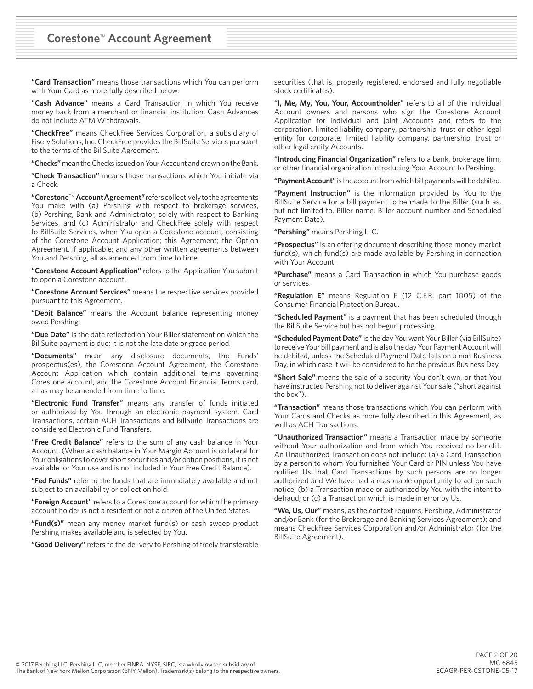**"Card Transaction"** means those transactions which You can perform with Your Card as more fully described below.

**"Cash Advance"** means a Card Transaction in which You receive money back from a merchant or financial institution. Cash Advances do not include ATM Withdrawals.

**"CheckFree"** means CheckFree Services Corporation, a subsidiary of Fiserv Solutions, Inc. CheckFree provides the BillSuite Services pursuant to the terms of the BillSuite Agreement.

**"Checks"** mean the Checks issued on Your Account and drawn on the Bank.

"**Check Transaction"** means those transactions which You initiate via a Check.

**"Corestone**™ **Account Agreement"** refers collectively to the agreements You make with (a) Pershing with respect to brokerage services, (b) Pershing, Bank and Administrator, solely with respect to Banking Services, and (c) Administrator and CheckFree solely with respect to BillSuite Services, when You open a Corestone account, consisting of the Corestone Account Application; this Agreement; the Option Agreement, if applicable; and any other written agreements between You and Pershing, all as amended from time to time.

**"Corestone Account Application"** refers to the Application You submit to open a Corestone account.

**"Corestone Account Services"** means the respective services provided pursuant to this Agreement.

**"Debit Balance"** means the Account balance representing money owed Pershing.

**"Due Date"** is the date reflected on Your Biller statement on which the BillSuite payment is due; it is not the late date or grace period.

**"Documents"** mean any disclosure documents, the Funds' prospectus(es), the Corestone Account Agreement, the Corestone Account Application which contain additional terms governing Corestone account, and the Corestone Account Financial Terms card, all as may be amended from time to time.

**"Electronic Fund Transfer"** means any transfer of funds initiated or authorized by You through an electronic payment system. Card Transactions, certain ACH Transactions and BillSuite Transactions are considered Electronic Fund Transfers.

**"Free Credit Balance"** refers to the sum of any cash balance in Your Account. (When a cash balance in Your Margin Account is collateral for Your obligations to cover short securities and/or option positions, it is not available for Your use and is not included in Your Free Credit Balance).

**"Fed Funds"** refer to the funds that are immediately available and not subject to an availability or collection hold.

**"Foreign Account"** refers to a Corestone account for which the primary account holder is not a resident or not a citizen of the United States.

**"Fund(s)"** mean any money market fund(s) or cash sweep product Pershing makes available and is selected by You.

**"Good Delivery"** refers to the delivery to Pershing of freely transferable

securities (that is, properly registered, endorsed and fully negotiable stock certificates).

**"I, Me, My, You, Your, Accountholder"** refers to all of the individual Account owners and persons who sign the Corestone Account Application for individual and joint Accounts and refers to the corporation, limited liability company, partnership, trust or other legal entity for corporate, limited liability company, partnership, trust or other legal entity Accounts.

**"Introducing Financial Organization"** refers to a bank, brokerage firm, or other financial organization introducing Your Account to Pershing.

**"Payment Account"** is the account from which bill payments will be debited.

**"Payment Instruction"** is the information provided by You to the BillSuite Service for a bill payment to be made to the Biller (such as, but not limited to, Biller name, Biller account number and Scheduled Payment Date).

**"Pershing"** means Pershing LLC.

**"Prospectus"** is an offering document describing those money market fund(s), which fund(s) are made available by Pershing in connection with Your Account.

**"Purchase"** means a Card Transaction in which You purchase goods or services.

**"Regulation E"** means Regulation E (12 C.F.R. part 1005) of the Consumer Financial Protection Bureau.

**"Scheduled Payment"** is a payment that has been scheduled through the BillSuite Service but has not begun processing.

**"Scheduled Payment Date"** is the day You want Your Biller (via BillSuite) to receive Your bill payment and is also the day Your Payment Account will be debited, unless the Scheduled Payment Date falls on a non-Business Day, in which case it will be considered to be the previous Business Day.

**"Short Sale"** means the sale of a security You don't own, or that You have instructed Pershing not to deliver against Your sale ("short against the box").

**"Transaction"** means those transactions which You can perform with Your Cards and Checks as more fully described in this Agreement, as well as ACH Transactions.

**"Unauthorized Transaction"** means a Transaction made by someone without Your authorization and from which You received no benefit. An Unauthorized Transaction does not include: (a) a Card Transaction by a person to whom You furnished Your Card or PIN unless You have notified Us that Card Transactions by such persons are no longer authorized and We have had a reasonable opportunity to act on such notice; (b) a Transaction made or authorized by You with the intent to defraud; or (c) a Transaction which is made in error by Us.

**"We, Us, Our"** means, as the context requires, Pershing, Administrator and/or Bank (for the Brokerage and Banking Services Agreement); and means CheckFree Services Corporation and/or Administrator (for the BillSuite Agreement).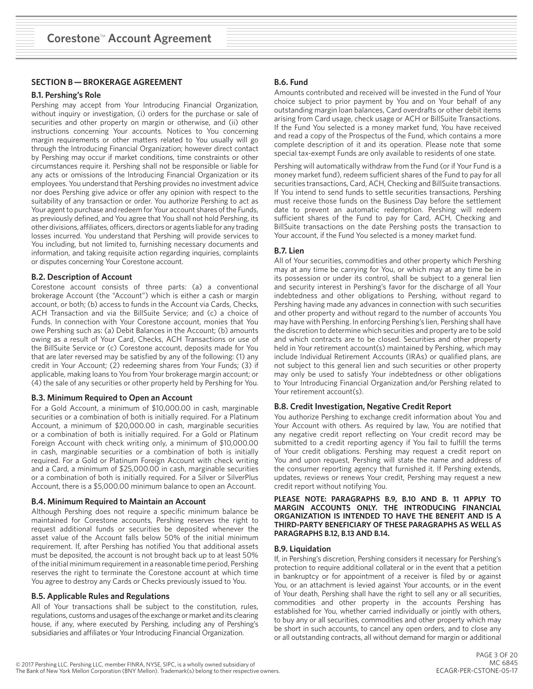# **SECTION B — BROKERAGE AGREEMENT**

#### **B.1. Pershing's Role**

Pershing may accept from Your Introducing Financial Organization, without inquiry or investigation, (i) orders for the purchase or sale of securities and other property on margin or otherwise, and (ii) other instructions concerning Your accounts. Notices to You concerning margin requirements or other matters related to You usually will go through the Introducing Financial Organization; however direct contact by Pershing may occur if market conditions, time constraints or other circumstances require it. Pershing shall not be responsible or liable for any acts or omissions of the Introducing Financial Organization or its employees. You understand that Pershing provides no investment advice nor does Pershing give advice or offer any opinion with respect to the suitability of any transaction or order. You authorize Pershing to act as Your agent to purchase and redeem for Your account shares of the Funds, as previously defined, and You agree that You shall not hold Pershing, its other divisions, affiliates, officers, directors or agents liable for any trading losses incurred. You understand that Pershing will provide services to You including, but not limited to, furnishing necessary documents and information, and taking requisite action regarding inquiries, complaints or disputes concerning Your Corestone account.

#### **B.2. Description of Account**

Corestone account consists of three parts: (a) a conventional brokerage Account (the "Account") which is either a cash or margin account, or both; (b) access to funds in the Account via Cards, Checks, ACH Transaction and via the BillSuite Service; and (c) a choice of Funds. In connection with Your Corestone account, monies that You owe Pershing such as: (a) Debit Balances in the Account; (b) amounts owing as a result of Your Card, Checks, ACH Transactions or use of the BillSuite Service or (c) Corestone account, deposits made for You that are later reversed may be satisfied by any of the following: (1) any credit in Your Account; (2) redeeming shares from Your Funds; (3) if applicable, making loans to You from Your brokerage margin account; or (4) the sale of any securities or other property held by Pershing for You.

#### **B.3. Minimum Required to Open an Account**

For a Gold Account, a minimum of \$10,000.00 in cash, marginable securities or a combination of both is initially required. For a Platinum Account, a minimum of \$20,000.00 in cash, marginable securities or a combination of both is initially required. For a Gold or Platinum Foreign Account with check writing only, a minimum of \$10,000.00 in cash, marginable securities or a combination of both is initially required. For a Gold or Platinum Foreign Account with check writing and a Card, a minimum of \$25,000.00 in cash, marginable securities or a combination of both is initially required. For a Silver or SilverPlus Account, there is a \$5,000.00 minimum balance to open an Account.

#### **B.4. Minimum Required to Maintain an Account**

Although Pershing does not require a specific minimum balance be maintained for Corestone accounts, Pershing reserves the right to request additional funds or securities be deposited whenever the asset value of the Account falls below 50% of the initial minimum requirement. If, after Pershing has notified You that additional assets must be deposited, the account is not brought back up to at least 50% of the initial minimum requirement in a reasonable time period, Pershing reserves the right to terminate the Corestone account at which time You agree to destroy any Cards or Checks previously issued to You.

### **B.5. Applicable Rules and Regulations**

All of Your transactions shall be subject to the constitution, rules, regulations, customs and usages of the exchange or market and its clearing house, if any, where executed by Pershing, including any of Pershing's subsidiaries and affiliates or Your Introducing Financial Organization.

## **B.6. Fund**

Amounts contributed and received will be invested in the Fund of Your choice subject to prior payment by You and on Your behalf of any outstanding margin loan balances, Card overdrafts or other debit items arising from Card usage, check usage or ACH or BillSuite Transactions. If the Fund You selected is a money market fund, You have received and read a copy of the Prospectus of the Fund, which contains a more complete description of it and its operation. Please note that some special tax-exempt Funds are only available to residents of one state.

Pershing will automatically withdraw from the Fund (or if Your Fund is a money market fund), redeem sufficient shares of the Fund to pay for all securities transactions, Card, ACH, Checking and BillSuite transactions. If You intend to send funds to settle securities transactions, Pershing must receive those funds on the Business Day before the settlement date to prevent an automatic redemption. Pershing will redeem sufficient shares of the Fund to pay for Card, ACH, Checking and BillSuite transactions on the date Pershing posts the transaction to Your account, if the Fund You selected is a money market fund.

### **B.7. Lien**

All of Your securities, commodities and other property which Pershing may at any time be carrying for You, or which may at any time be in its possession or under its control, shall be subject to a general lien and security interest in Pershing's favor for the discharge of all Your indebtedness and other obligations to Pershing, without regard to Pershing having made any advances in connection with such securities and other property and without regard to the number of accounts You may have with Pershing. In enforcing Pershing's lien, Pershing shall have the discretion to determine which securities and property are to be sold and which contracts are to be closed. Securities and other property held in Your retirement account(s) maintained by Pershing, which may include Individual Retirement Accounts (IRAs) or qualified plans, are not subject to this general lien and such securities or other property may only be used to satisfy Your indebtedness or other obligations to Your Introducing Financial Organization and/or Pershing related to Your retirement account(s).

### **B.8. Credit Investigation, Negative Credit Report**

You authorize Pershing to exchange credit information about You and Your Account with others. As required by law, You are notified that any negative credit report reflecting on Your credit record may be submitted to a credit reporting agency if You fail to fulfill the terms of Your credit obligations. Pershing may request a credit report on You and upon request, Pershing will state the name and address of the consumer reporting agency that furnished it. If Pershing extends, updates, reviews or renews Your credit, Pershing may request a new credit report without notifying You.

**PLEASE NOTE: PARAGRAPHS B.9, B.10 AND B. 11 APPLY TO MARGIN ACCOUNTS ONLY. THE INTRODUCING FINANCIAL ORGANIZATION IS INTENDED TO HAVE THE BENEFIT AND IS A THIRD-PARTY BENEFICIARY OF THESE PARAGRAPHS AS WELL AS PARAGRAPHS B.12, B.13 AND B.14.**

#### **B.9. Liquidation**

If, in Pershing's discretion, Pershing considers it necessary for Pershing's protection to require additional collateral or in the event that a petition in bankruptcy or for appointment of a receiver is filed by or against You, or an attachment is levied against Your accounts, or in the event of Your death, Pershing shall have the right to sell any or all securities, commodities and other property in the accounts Pershing has established for You, whether carried individually or jointly with others, to buy any or all securities, commodities and other property which may be short in such accounts, to cancel any open orders, and to close any or all outstanding contracts, all without demand for margin or additional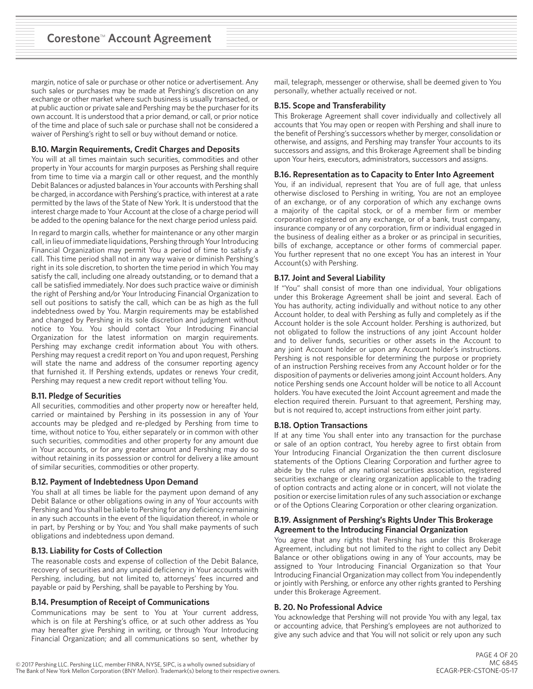margin, notice of sale or purchase or other notice or advertisement. Any such sales or purchases may be made at Pershing's discretion on any exchange or other market where such business is usually transacted, or at public auction or private sale and Pershing may be the purchaser for its own account. It is understood that a prior demand, or call, or prior notice of the time and place of such sale or purchase shall not be considered a waiver of Pershing's right to sell or buy without demand or notice.

### **B.10. Margin Requirements, Credit Charges and Deposits**

You will at all times maintain such securities, commodities and other property in Your accounts for margin purposes as Pershing shall require from time to time via a margin call or other request, and the monthly Debit Balances or adjusted balances in Your accounts with Pershing shall be charged, in accordance with Pershing's practice, with interest at a rate permitted by the laws of the State of New York. It is understood that the interest charge made to Your Account at the close of a charge period will be added to the opening balance for the next charge period unless paid.

In regard to margin calls, whether for maintenance or any other margin call, in lieu of immediate liquidations, Pershing through Your Introducing Financial Organization may permit You a period of time to satisfy a call. This time period shall not in any way waive or diminish Pershing's right in its sole discretion, to shorten the time period in which You may satisfy the call, including one already outstanding, or to demand that a call be satisfied immediately. Nor does such practice waive or diminish the right of Pershing and/or Your Introducing Financial Organization to sell out positions to satisfy the call, which can be as high as the full indebtedness owed by You. Margin requirements may be established and changed by Pershing in its sole discretion and judgment without notice to You. You should contact Your Introducing Financial Organization for the latest information on margin requirements. Pershing may exchange credit information about You with others. Pershing may request a credit report on You and upon request, Pershing will state the name and address of the consumer reporting agency that furnished it. If Pershing extends, updates or renews Your credit, Pershing may request a new credit report without telling You.

### **B.11. Pledge of Securities**

All securities, commodities and other property now or hereafter held, carried or maintained by Pershing in its possession in any of Your accounts may be pledged and re-pledged by Pershing from time to time, without notice to You, either separately or in common with other such securities, commodities and other property for any amount due in Your accounts, or for any greater amount and Pershing may do so without retaining in its possession or control for delivery a like amount of similar securities, commodities or other property.

### **B.12. Payment of Indebtedness Upon Demand**

You shall at all times be liable for the payment upon demand of any Debit Balance or other obligations owing in any of Your accounts with Pershing and You shall be liable to Pershing for any deficiency remaining in any such accounts in the event of the liquidation thereof, in whole or in part, by Pershing or by You; and You shall make payments of such obligations and indebtedness upon demand.

### **B.13. Liability for Costs of Collection**

The reasonable costs and expense of collection of the Debit Balance, recovery of securities and any unpaid deficiency in Your accounts with Pershing, including, but not limited to, attorneys' fees incurred and payable or paid by Pershing, shall be payable to Pershing by You.

### **B.14. Presumption of Receipt of Communications**

Communications may be sent to You at Your current address, which is on file at Pershing's office, or at such other address as You may hereafter give Pershing in writing, or through Your Introducing Financial Organization; and all communications so sent, whether by

mail, telegraph, messenger or otherwise, shall be deemed given to You personally, whether actually received or not.

# **B.15. Scope and Transferability**

This Brokerage Agreement shall cover individually and collectively all accounts that You may open or reopen with Pershing and shall inure to the benefit of Pershing's successors whether by merger, consolidation or otherwise, and assigns, and Pershing may transfer Your accounts to its successors and assigns, and this Brokerage Agreement shall be binding upon Your heirs, executors, administrators, successors and assigns.

## **B.16. Representation as to Capacity to Enter Into Agreement**

You, if an individual, represent that You are of full age, that unless otherwise disclosed to Pershing in writing, You are not an employee of an exchange, or of any corporation of which any exchange owns a majority of the capital stock, or of a member firm or member corporation registered on any exchange, or of a bank, trust company, insurance company or of any corporation, firm or individual engaged in the business of dealing either as a broker or as principal in securities, bills of exchange, acceptance or other forms of commercial paper. You further represent that no one except You has an interest in Your Account(s) with Pershing.

### **B.17. Joint and Several Liability**

If "You" shall consist of more than one individual, Your obligations under this Brokerage Agreement shall be joint and several. Each of You has authority, acting individually and without notice to any other Account holder, to deal with Pershing as fully and completely as if the Account holder is the sole Account holder. Pershing is authorized, but not obligated to follow the instructions of any joint Account holder and to deliver funds, securities or other assets in the Account to any joint Account holder or upon any Account holder's instructions. Pershing is not responsible for determining the purpose or propriety of an instruction Pershing receives from any Account holder or for the disposition of payments or deliveries among joint Account holders. Any notice Pershing sends one Account holder will be notice to all Account holders. You have executed the Joint Account agreement and made the election required therein. Pursuant to that agreement, Pershing may, but is not required to, accept instructions from either joint party.

### **B.18. Option Transactions**

If at any time You shall enter into any transaction for the purchase or sale of an option contract, You hereby agree to first obtain from Your Introducing Financial Organization the then current disclosure statements of the Options Clearing Corporation and further agree to abide by the rules of any national securities association, registered securities exchange or clearing organization applicable to the trading of option contracts and acting alone or in concert, will not violate the position or exercise limitation rules of any such association or exchange or of the Options Clearing Corporation or other clearing organization.

### **B.19. Assignment of Pershing's Rights Under This Brokerage Agreement to the Introducing Financial Organization**

You agree that any rights that Pershing has under this Brokerage Agreement, including but not limited to the right to collect any Debit Balance or other obligations owing in any of Your accounts, may be assigned to Your Introducing Financial Organization so that Your Introducing Financial Organization may collect from You independently or jointly with Pershing, or enforce any other rights granted to Pershing under this Brokerage Agreement.

### **B. 20. No Professional Advice**

You acknowledge that Pershing will not provide You with any legal, tax or accounting advice, that Pershing's employees are not authorized to give any such advice and that You will not solicit or rely upon any such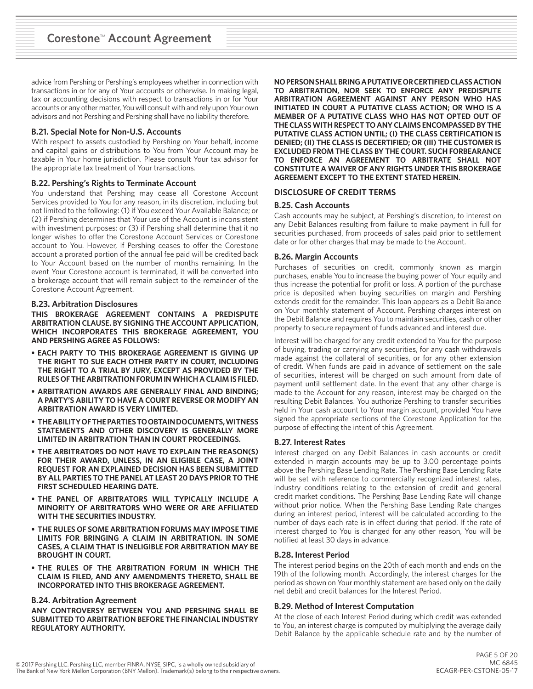advice from Pershing or Pershing's employees whether in connection with transactions in or for any of Your accounts or otherwise. In making legal, tax or accounting decisions with respect to transactions in or for Your accounts or any other matter, You will consult with and rely upon Your own advisors and not Pershing and Pershing shall have no liability therefore.

## **B.21. Special Note for Non-U.S. Accounts**

With respect to assets custodied by Pershing on Your behalf, income and capital gains or distributions to You from Your Account may be taxable in Your home jurisdiction. Please consult Your tax advisor for the appropriate tax treatment of Your transactions.

# **B.22. Pershing's Rights to Terminate Account**

You understand that Pershing may cease all Corestone Account Services provided to You for any reason, in its discretion, including but not limited to the following: (1) if You exceed Your Available Balance; or (2) if Pershing determines that Your use of the Account is inconsistent with investment purposes; or (3) if Pershing shall determine that it no longer wishes to offer the Corestone Account Services or Corestone account to You. However, if Pershing ceases to offer the Corestone account a prorated portion of the annual fee paid will be credited back to Your Account based on the number of months remaining. In the event Your Corestone account is terminated, it will be converted into a brokerage account that will remain subject to the remainder of the Corestone Account Agreement.

### **B.23. Arbitration Disclosures**

**THIS BROKERAGE AGREEMENT CONTAINS A PREDISPUTE ARBITRATION CLAUSE. BY SIGNING THE ACCOUNT APPLICATION, WHICH INCORPORATES THIS BROKERAGE AGREEMENT, YOU AND PERSHING AGREE AS FOLLOWS:**

- **• EACH PARTY TO THIS BROKERAGE AGREEMENT IS GIVING UP THE RIGHT TO SUE EACH OTHER PARTY IN COURT, INCLUDING THE RIGHT TO A TRIAL BY JURY, EXCEPT AS PROVIDED BY THE RULES OF THE ARBITRATION FORUM IN WHICH A CLAIM IS FILED.**
- **• ARBITRATION AWARDS ARE GENERALLY FINAL AND BINDING; A PARTY'S ABILITY TO HAVE A COURT REVERSE OR MODIFY AN ARBITRATION AWARD IS VERY LIMITED.**
- **• THE ABILITY OF THE PARTIES TO OBTAIN DOCUMENTS, WITNESS STATEMENTS AND OTHER DISCOVERY IS GENERALLY MORE LIMITED IN ARBITRATION THAN IN COURT PROCEEDINGS.**
- **• THE ARBITRATORS DO NOT HAVE TO EXPLAIN THE REASON(S) FOR THEIR AWARD, UNLESS, IN AN ELIGIBLE CASE, A JOINT REQUEST FOR AN EXPLAINED DECISION HAS BEEN SUBMITTED BY ALL PARTIES TO THE PANEL AT LEAST 20 DAYS PRIOR TO THE FIRST SCHEDULED HEARING DATE.**
- **• THE PANEL OF ARBITRATORS WILL TYPICALLY INCLUDE A MINORITY OF ARBITRATORS WHO WERE OR ARE AFFILIATED WITH THE SECURITIES INDUSTRY.**
- **• THE RULES OF SOME ARBITRATION FORUMS MAY IMPOSE TIME LIMITS FOR BRINGING A CLAIM IN ARBITRATION. IN SOME CASES, A CLAIM THAT IS INELIGIBLE FOR ARBITRATION MAY BE BROUGHT IN COURT.**
- **• THE RULES OF THE ARBITRATION FORUM IN WHICH THE CLAIM IS FILED, AND ANY AMENDMENTS THERETO, SHALL BE INCORPORATED INTO THIS BROKERAGE AGREEMENT.**

### **B.24. Arbitration Agreement**

**ANY CONTROVERSY BETWEEN YOU AND PERSHING SHALL BE SUBMITTED TO ARBITRATION BEFORE THE FINANCIAL INDUSTRY REGULATORY AUTHORITY.**

**NO PERSON SHALL BRING A PUTATIVE OR CERTIFIED CLASS ACTION TO ARBITRATION, NOR SEEK TO ENFORCE ANY PREDISPUTE ARBITRATION AGREEMENT AGAINST ANY PERSON WHO HAS INITIATED IN COURT A PUTATIVE CLASS ACTION; OR WHO IS A MEMBER OF A PUTATIVE CLASS WHO HAS NOT OPTED OUT OF THE CLASS WITH RESPECT TO ANY CLAIMS ENCOMPASSED BY THE PUTATIVE CLASS ACTION UNTIL; (I) THE CLASS CERTIFICATION IS DENIED; (II) THE CLASS IS DECERTIFIED; OR (III) THE CUSTOMER IS EXCLUDED FROM THE CLASS BY THE COURT. SUCH FORBEARANCE TO ENFORCE AN AGREEMENT TO ARBITRATE SHALL NOT CONSTITUTE A WAIVER OF ANY RIGHTS UNDER THIS BROKERAGE AGREEMENT EXCEPT TO THE EXTENT STATED HEREIN.**

### **DISCLOSURE OF CREDIT TERMS**

#### **B.25. Cash Accounts**

Cash accounts may be subject, at Pershing's discretion, to interest on any Debit Balances resulting from failure to make payment in full for securities purchased, from proceeds of sales paid prior to settlement date or for other charges that may be made to the Account.

#### **B.26. Margin Accounts**

Purchases of securities on credit, commonly known as margin purchases, enable You to increase the buying power of Your equity and thus increase the potential for profit or loss. A portion of the purchase price is deposited when buying securities on margin and Pershing extends credit for the remainder. This loan appears as a Debit Balance on Your monthly statement of Account. Pershing charges interest on the Debit Balance and requires You to maintain securities, cash or other property to secure repayment of funds advanced and interest due.

Interest will be charged for any credit extended to You for the purpose of buying, trading or carrying any securities, for any cash withdrawals made against the collateral of securities, or for any other extension of credit. When funds are paid in advance of settlement on the sale of securities, interest will be charged on such amount from date of payment until settlement date. In the event that any other charge is made to the Account for any reason, interest may be charged on the resulting Debit Balances. You authorize Pershing to transfer securities held in Your cash account to Your margin account, provided You have signed the appropriate sections of the Corestone Application for the purpose of effecting the intent of this Agreement.

### **B.27. Interest Rates**

Interest charged on any Debit Balances in cash accounts or credit extended in margin accounts may be up to 3.00 percentage points above the Pershing Base Lending Rate. The Pershing Base Lending Rate will be set with reference to commercially recognized interest rates, industry conditions relating to the extension of credit and general credit market conditions. The Pershing Base Lending Rate will change without prior notice. When the Pershing Base Lending Rate changes during an interest period, interest will be calculated according to the number of days each rate is in effect during that period. If the rate of interest charged to You is changed for any other reason, You will be notified at least 30 days in advance.

### **B.28. Interest Period**

The interest period begins on the 20th of each month and ends on the 19th of the following month. Accordingly, the interest charges for the period as shown on Your monthly statement are based only on the daily net debit and credit balances for the Interest Period.

### **B.29. Method of Interest Computation**

At the close of each Interest Period during which credit was extended to You, an interest charge is computed by multiplying the average daily Debit Balance by the applicable schedule rate and by the number of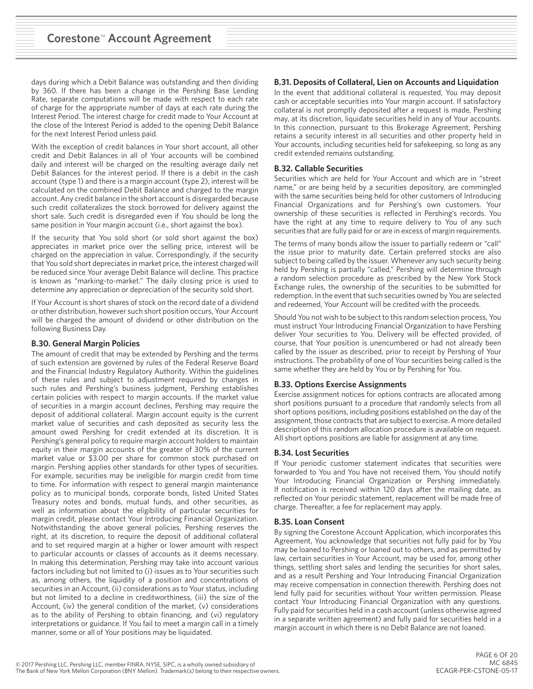days during which a Debit Balance was outstanding and then dividing by 360. If there has been a change in the Pershing Base Lending Rate, separate computations will be made with respect to each rate of charge for the appropriate number of days at each rate during the Interest Period. The interest charge for credit made to Your Account at the close of the Interest Period is added to the opening Debit Balance for the next Interest Period unless paid.

With the exception of credit balances in Your short account, all other credit and Debit Balances in all of Your accounts will be combined daily and interest will be charged on the resulting average daily net Debit Balances for the interest period. If there is a debit in the cash account (type 1) and there is a margin account (type 2), interest will be calculated on the combined Debit Balance and charged to the margin account. Any credit balance in the short account is disregarded because such credit collateralizes the stock borrowed for delivery against the short sale. Such credit is disregarded even if You should be long the same position in Your margin account (i.e., short against the box).

If the security that You sold short (or sold short against the box) appreciates in market price over the selling price, interest will be charged on the appreciation in value. Correspondingly, if the security that You sold short depreciates in market price, the interest charged will be reduced since Your average Debit Balance will decline. This practice is known as "marking-to-market." The daily closing price is used to determine any appreciation or depreciation of the security sold short.

If Your Account is short shares of stock on the record date of a dividend or other distribution, however such short position occurs, Your Account will be charged the amount of dividend or other distribution on the following Business Day.

### **B.30. General Margin Policies**

The amount of credit that may be extended by Pershing and the terms of such extension are governed by rules of the Federal Reserve Board and the Financial Industry Regulatory Authority. Within the guidelines of these rules and subject to adjustment required by changes in such rules and Pershing's business judgment, Pershing establishes certain policies with respect to margin accounts. If the market value of securities in a margin account declines, Pershing may require the deposit of additional collateral. Margin account equity is the current market value of securities and cash deposited as security less the amount owed Pershing for credit extended at its discretion. It is Pershing's general policy to require margin account holders to maintain equity in their margin accounts of the greater of 30% of the current market value or \$3.00 per share for common stock purchased on margin. Pershing applies other standards for other types of securities. For example, securities may be ineligible for margin credit from time to time. For information with respect to general margin maintenance policy as to municipal bonds, corporate bonds, listed United States Treasury notes and bonds, mutual funds, and other securities, as well as information about the eligibility of particular securities for margin credit, please contact Your Introducing Financial Organization. Notwithstanding the above general policies, Pershing reserves the right, at its discretion, to require the deposit of additional collateral and to set required margin at a higher or lower amount with respect to particular accounts or classes of accounts as it deems necessary. In making this determination, Pershing may take into account various factors including but not limited to (i) issues as to Your securities such as, among others, the liquidity of a position and concentrations of securities in an Account, (ii) considerations as to Your status, including but not limited to a decline in creditworthiness, (iii) the size of the Account, (iv) the general condition of the market, (v) considerations as to the ability of Pershing to obtain financing, and (vi) regulatory interpretations or guidance. If You fail to meet a margin call in a timely manner, some or all of Your positions may be liquidated.

### **B.31. Deposits of Collateral, Lien on Accounts and Liquidation**

In the event that additional collateral is requested, You may deposit cash or acceptable securities into Your margin account. If satisfactory collateral is not promptly deposited after a request is made, Pershing may, at its discretion, liquidate securities held in any of Your accounts. In this connection, pursuant to this Brokerage Agreement, Pershing retains a security interest in all securities and other property held in Your accounts, including securities held for safekeeping, so long as any credit extended remains outstanding.

#### **B.32. Callable Securities**

Securities which are held for Your Account and which are in "street name," or are being held by a securities depository, are commingled with the same securities being held for other customers of Introducing Financial Organizations and for Pershing's own customers. Your ownership of these securities is reflected in Pershing's records. You have the right at any time to require delivery to You of any such securities that are fully paid for or are in excess of margin requirements.

The terms of many bonds allow the issuer to partially redeem or "call" the issue prior to maturity date. Certain preferred stocks are also subject to being called by the issuer. Whenever any such security being held by Pershing is partially "called," Pershing will determine through a random selection procedure as prescribed by the New York Stock Exchange rules, the ownership of the securities to be submitted for redemption. In the event that such securities owned by You are selected and redeemed, Your Account will be credited with the proceeds.

Should You not wish to be subject to this random selection process, You must instruct Your Introducing Financial Organization to have Pershing deliver Your securities to You. Delivery will be effected provided, of course, that Your position is unencumbered or had not already been called by the issuer as described, prior to receipt by Pershing of Your instructions. The probability of one of Your securities being called is the same whether they are held by You or by Pershing for You.

### **B.33. Options Exercise Assignments**

Exercise assignment notices for options contracts are allocated among short positions pursuant to a procedure that randomly selects from all short options positions, including positions established on the day of the assignment, those contracts that are subject to exercise. A more detailed description of this random allocation procedure is available on request. All short options positions are liable for assignment at any time.

### **B.34. Lost Securities**

If Your periodic customer statement indicates that securities were forwarded to You and You have not received them, You should notify Your Introducing Financial Organization or Pershing immediately. If notification is received within 120 days after the mailing date, as reflected on Your periodic statement, replacement will be made free of charge. Thereafter, a fee for replacement may apply.

### **B.35. Loan Consent**

By signing the Corestone Account Application, which incorporates this Agreement, You acknowledge that securities not fully paid for by You may be loaned to Pershing or loaned out to others, and as permitted by law, certain securities in Your Account, may be used for, among other things, settling short sales and lending the securities for short sales, and as a result Pershing and Your Introducing Financial Organization may receive compensation in connection therewith. Pershing does not lend fully paid for securities without Your written permission. Please contact Your Introducing Financial Organization with any questions. Fully paid for securities held in a cash account (unless otherwise agreed in a separate written agreement) and fully paid for securities held in a margin account in which there is no Debit Balance are not loaned.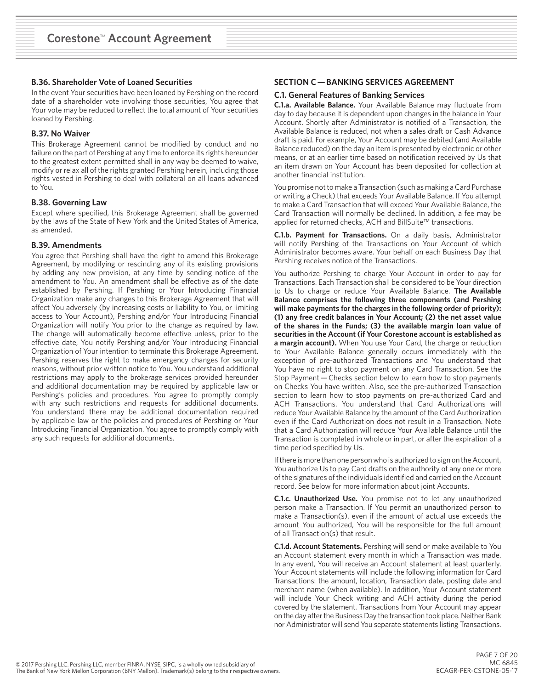## **B.36. Shareholder Vote of Loaned Securities**

In the event Your securities have been loaned by Pershing on the record date of a shareholder vote involving those securities, You agree that Your vote may be reduced to reflect the total amount of Your securities loaned by Pershing.

## **B.37. No Waiver**

This Brokerage Agreement cannot be modified by conduct and no failure on the part of Pershing at any time to enforce its rights hereunder to the greatest extent permitted shall in any way be deemed to waive, modify or relax all of the rights granted Pershing herein, including those rights vested in Pershing to deal with collateral on all loans advanced to You.

#### **B.38. Governing Law**

Except where specified, this Brokerage Agreement shall be governed by the laws of the State of New York and the United States of America, as amended.

#### **B.39. Amendments**

You agree that Pershing shall have the right to amend this Brokerage Agreement, by modifying or rescinding any of its existing provisions by adding any new provision, at any time by sending notice of the amendment to You. An amendment shall be effective as of the date established by Pershing. If Pershing or Your Introducing Financial Organization make any changes to this Brokerage Agreement that will affect You adversely (by increasing costs or liability to You, or limiting access to Your Account), Pershing and/or Your Introducing Financial Organization will notify You prior to the change as required by law. The change will automatically become effective unless, prior to the effective date, You notify Pershing and/or Your Introducing Financial Organization of Your intention to terminate this Brokerage Agreement. Pershing reserves the right to make emergency changes for security reasons, without prior written notice to You. You understand additional restrictions may apply to the brokerage services provided hereunder and additional documentation may be required by applicable law or Pershing's policies and procedures. You agree to promptly comply with any such restrictions and requests for additional documents. You understand there may be additional documentation required by applicable law or the policies and procedures of Pershing or Your Introducing Financial Organization. You agree to promptly comply with any such requests for additional documents.

## **SECTION C — BANKING SERVICES AGREEMENT**

#### **C.1. General Features of Banking Services**

**C.1.a. Available Balance.** Your Available Balance may fluctuate from day to day because it is dependent upon changes in the balance in Your Account. Shortly after Administrator is notified of a Transaction, the Available Balance is reduced, not when a sales draft or Cash Advance draft is paid. For example, Your Account may be debited (and Available Balance reduced) on the day an item is presented by electronic or other means, or at an earlier time based on notification received by Us that an item drawn on Your Account has been deposited for collection at another financial institution.

You promise not to make a Transaction (such as making a Card Purchase or writing a Check) that exceeds Your Available Balance. If You attempt to make a Card Transaction that will exceed Your Available Balance, the Card Transaction will normally be declined. In addition, a fee may be applied for returned checks, ACH and BillSuite™ transactions.

**C.1.b. Payment for Transactions.** On a daily basis, Administrator will notify Pershing of the Transactions on Your Account of which Administrator becomes aware. Your behalf on each Business Day that Pershing receives notice of the Transactions.

You authorize Pershing to charge Your Account in order to pay for Transactions. Each Transaction shall be considered to be Your direction to Us to charge or reduce Your Available Balance. **The Available Balance comprises the following three components (and Pershing will make payments for the charges in the following order of priority): (1) any free credit balances in Your Account; (2) the net asset value of the shares in the Funds; (3) the available margin loan value of securities in the Account (if Your Corestone account is established as a margin account).** When You use Your Card, the charge or reduction to Your Available Balance generally occurs immediately with the exception of pre-authorized Transactions and You understand that You have no right to stop payment on any Card Transaction. See the Stop Payment — Checks section below to learn how to stop payments on Checks You have written. Also, see the pre-authorized Transaction section to learn how to stop payments on pre-authorized Card and ACH Transactions. You understand that Card Authorizations will reduce Your Available Balance by the amount of the Card Authorization even if the Card Authorization does not result in a Transaction. Note that a Card Authorization will reduce Your Available Balance until the Transaction is completed in whole or in part, or after the expiration of a time period specified by Us.

If there is more than one person who is authorized to sign on the Account, You authorize Us to pay Card drafts on the authority of any one or more of the signatures of the individuals identified and carried on the Account record. See below for more information about joint Accounts.

**C.1.c. Unauthorized Use.** You promise not to let any unauthorized person make a Transaction. If You permit an unauthorized person to make a Transaction(s), even if the amount of actual use exceeds the amount You authorized, You will be responsible for the full amount of all Transaction(s) that result.

**C.1.d. Account Statements.** Pershing will send or make available to You an Account statement every month in which a Transaction was made. In any event, You will receive an Account statement at least quarterly. Your Account statements will include the following information for Card Transactions: the amount, location, Transaction date, posting date and merchant name (when available). In addition, Your Account statement will include Your Check writing and ACH activity during the period covered by the statement. Transactions from Your Account may appear on the day after the Business Day the transaction took place. Neither Bank nor Administrator will send You separate statements listing Transactions.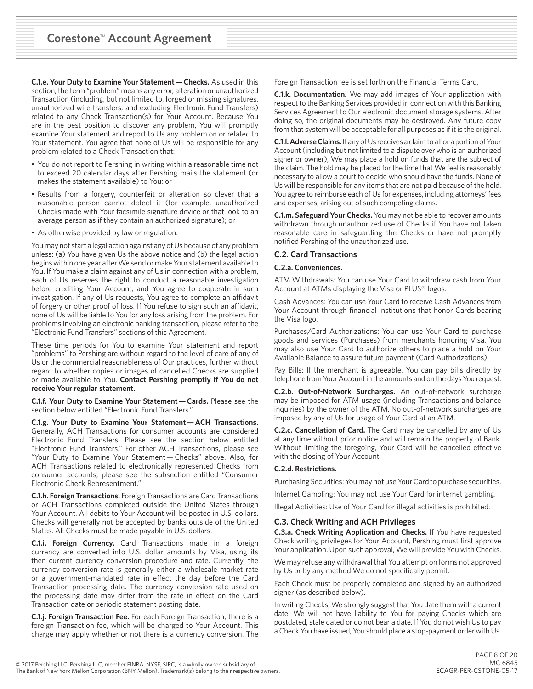**C.1.e. Your Duty to Examine Your Statement — Checks.** As used in this section, the term "problem" means any error, alteration or unauthorized Transaction (including, but not limited to, forged or missing signatures, unauthorized wire transfers, and excluding Electronic Fund Transfers) related to any Check Transaction(s) for Your Account. Because You are in the best position to discover any problem, You will promptly examine Your statement and report to Us any problem on or related to Your statement. You agree that none of Us will be responsible for any problem related to a Check Transaction that:

- You do not report to Pershing in writing within a reasonable time not to exceed 20 calendar days after Pershing mails the statement (or makes the statement available) to You; or
- Results from a forgery, counterfeit or alteration so clever that a reasonable person cannot detect it (for example, unauthorized Checks made with Your facsimile signature device or that look to an average person as if they contain an authorized signature); or
- As otherwise provided by law or regulation.

You may not start a legal action against any of Us because of any problem unless: (a) You have given Us the above notice and (b) the legal action begins within one year after We send or make Your statement available to You. If You make a claim against any of Us in connection with a problem, each of Us reserves the right to conduct a reasonable investigation before crediting Your Account, and You agree to cooperate in such investigation. If any of Us requests, You agree to complete an affidavit of forgery or other proof of loss. If You refuse to sign such an affidavit, none of Us will be liable to You for any loss arising from the problem. For problems involving an electronic banking transaction, please refer to the "Electronic Fund Transfers" sections of this Agreement.

These time periods for You to examine Your statement and report "problems" to Pershing are without regard to the level of care of any of Us or the commercial reasonableness of Our practices, further without regard to whether copies or images of cancelled Checks are supplied or made available to You. **Contact Pershing promptly if You do not receive Your regular statement.**

**C.1.f. Your Duty to Examine Your Statement — Cards.** Please see the section below entitled "Electronic Fund Transfers."

**C.1.g. Your Duty to Examine Your Statement — ACH Transactions.** Generally, ACH Transactions for consumer accounts are considered Electronic Fund Transfers. Please see the section below entitled "Electronic Fund Transfers." For other ACH Transactions, please see "Your Duty to Examine Your Statement — Checks" above. Also, for ACH Transactions related to electronically represented Checks from consumer accounts, please see the subsection entitled "Consumer Electronic Check Representment."

**C.1.h. Foreign Transactions.** Foreign Transactions are Card Transactions or ACH Transactions completed outside the United States through Your Account. All debits to Your Account will be posted in U.S. dollars. Checks will generally not be accepted by banks outside of the United States. All Checks must be made payable in U.S. dollars.

**C.1.i. Foreign Currency.** Card Transactions made in a foreign currency are converted into U.S. dollar amounts by Visa, using its then current currency conversion procedure and rate. Currently, the currency conversion rate is generally either a wholesale market rate or a government-mandated rate in effect the day before the Card Transaction processing date. The currency conversion rate used on the processing date may differ from the rate in effect on the Card Transaction date or periodic statement posting date.

**C.1.j. Foreign Transaction Fee.** For each Foreign Transaction, there is a foreign Transaction fee, which will be charged to Your Account. This charge may apply whether or not there is a currency conversion. The Foreign Transaction fee is set forth on the Financial Terms Card.

**C.1.k. Documentation.** We may add images of Your application with respect to the Banking Services provided in connection with this Banking Services Agreement to Our electronic document storage systems. After doing so, the original documents may be destroyed. Any future copy from that system will be acceptable for all purposes as if it is the original.

**C.1.l. Adverse Claims.** If any of Us receives a claim to all or a portion of Your Account (including but not limited to a dispute over who is an authorized signer or owner), We may place a hold on funds that are the subject of the claim. The hold may be placed for the time that We feel is reasonably necessary to allow a court to decide who should have the funds. None of Us will be responsible for any items that are not paid because of the hold. You agree to reimburse each of Us for expenses, including attorneys' fees and expenses, arising out of such competing claims.

**C.1.m. Safeguard Your Checks.** You may not be able to recover amounts withdrawn through unauthorized use of Checks if You have not taken reasonable care in safeguarding the Checks or have not promptly notified Pershing of the unauthorized use.

#### **C.2. Card Transactions**

#### **C.2.a. Conveniences.**

ATM Withdrawals: You can use Your Card to withdraw cash from Your Account at ATMs displaying the Visa or PLUS® logos.

Cash Advances: You can use Your Card to receive Cash Advances from Your Account through financial institutions that honor Cards bearing the Visa logo.

Purchases/Card Authorizations: You can use Your Card to purchase goods and services (Purchases) from merchants honoring Visa. You may also use Your Card to authorize others to place a hold on Your Available Balance to assure future payment (Card Authorizations).

Pay Bills: If the merchant is agreeable, You can pay bills directly by telephone from Your Account in the amounts and on the days You request.

**C.2.b. Out-of-Network Surcharges.** An out-of-network surcharge may be imposed for ATM usage (including Transactions and balance inquiries) by the owner of the ATM. No out-of-network surcharges are imposed by any of Us for usage of Your Card at an ATM.

**C.2.c. Cancellation of Card.** The Card may be cancelled by any of Us at any time without prior notice and will remain the property of Bank. Without limiting the foregoing, Your Card will be cancelled effective with the closing of Your Account.

#### **C.2.d. Restrictions.**

Purchasing Securities: You may not use Your Card to purchase securities.

Internet Gambling: You may not use Your Card for internet gambling.

Illegal Activities: Use of Your Card for illegal activities is prohibited.

### **C.3. Check Writing and ACH Privileges**

**C.3.a. Check Writing Application and Checks.** If You have requested Check writing privileges for Your Account, Pershing must first approve Your application. Upon such approval, We will provide You with Checks.

We may refuse any withdrawal that You attempt on forms not approved by Us or by any method We do not specifically permit.

Each Check must be properly completed and signed by an authorized signer (as described below).

In writing Checks, We strongly suggest that You date them with a current date. We will not have liability to You for paying Checks which are postdated, stale dated or do not bear a date. If You do not wish Us to pay a Check You have issued, You should place a stop-payment order with Us.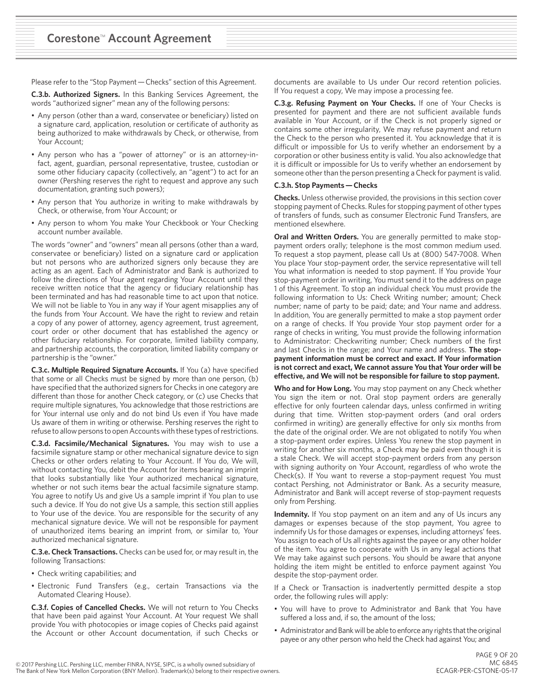Please refer to the "Stop Payment — Checks" section of this Agreement.

**C.3.b. Authorized Signers.** In this Banking Services Agreement, the words "authorized signer" mean any of the following persons:

- Any person (other than a ward, conservatee or beneficiary) listed on a signature card, application, resolution or certificate of authority as being authorized to make withdrawals by Check, or otherwise, from Your Account;
- Any person who has a "power of attorney" or is an attorney-infact, agent, guardian, personal representative, trustee, custodian or some other fiduciary capacity (collectively, an "agent") to act for an owner (Pershing reserves the right to request and approve any such documentation, granting such powers);
- Any person that You authorize in writing to make withdrawals by Check, or otherwise, from Your Account; or
- Any person to whom You make Your Checkbook or Your Checking account number available.

The words "owner" and "owners" mean all persons (other than a ward, conservatee or beneficiary) listed on a signature card or application but not persons who are authorized signers only because they are acting as an agent. Each of Administrator and Bank is authorized to follow the directions of Your agent regarding Your Account until they receive written notice that the agency or fiduciary relationship has been terminated and has had reasonable time to act upon that notice. We will not be liable to You in any way if Your agent misapplies any of the funds from Your Account. We have the right to review and retain a copy of any power of attorney, agency agreement, trust agreement, court order or other document that has established the agency or other fiduciary relationship. For corporate, limited liability company, and partnership accounts, the corporation, limited liability company or partnership is the "owner."

**C.3.c. Multiple Required Signature Accounts.** If You (a) have specified that some or all Checks must be signed by more than one person, (b) have specified that the authorized signers for Checks in one category are different than those for another Check category, or (c) use Checks that require multiple signatures, You acknowledge that those restrictions are for Your internal use only and do not bind Us even if You have made Us aware of them in writing or otherwise. Pershing reserves the right to refuse to allow persons to open Accounts with these types of restrictions.

**C.3.d. Facsimile/Mechanical Signatures.** You may wish to use a facsimile signature stamp or other mechanical signature device to sign Checks or other orders relating to Your Account. If You do, We will, without contacting You, debit the Account for items bearing an imprint that looks substantially like Your authorized mechanical signature, whether or not such items bear the actual facsimile signature stamp. You agree to notify Us and give Us a sample imprint if You plan to use such a device. If You do not give Us a sample, this section still applies to Your use of the device. You are responsible for the security of any mechanical signature device. We will not be responsible for payment of unauthorized items bearing an imprint from, or similar to, Your authorized mechanical signature.

**C.3.e. Check Transactions.** Checks can be used for, or may result in, the following Transactions:

- Check writing capabilities; and
- Electronic Fund Transfers (e.g., certain Transactions via the Automated Clearing House).

**C.3.f. Copies of Cancelled Checks.** We will not return to You Checks that have been paid against Your Account. At Your request We shall provide You with photocopies or image copies of Checks paid against the Account or other Account documentation, if such Checks or

documents are available to Us under Our record retention policies. If You request a copy, We may impose a processing fee.

**C.3.g. Refusing Payment on Your Checks.** If one of Your Checks is presented for payment and there are not sufficient available funds available in Your Account, or if the Check is not properly signed or contains some other irregularity, We may refuse payment and return the Check to the person who presented it. You acknowledge that it is difficult or impossible for Us to verify whether an endorsement by a corporation or other business entity is valid. You also acknowledge that it is difficult or impossible for Us to verify whether an endorsement by someone other than the person presenting a Check for payment is valid.

#### **C.3.h. Stop Payments — Checks**

**Checks.** Unless otherwise provided, the provisions in this section cover stopping payment of Checks. Rules for stopping payment of other types of transfers of funds, such as consumer Electronic Fund Transfers, are mentioned elsewhere.

**Oral and Written Orders.** You are generally permitted to make stoppayment orders orally; telephone is the most common medium used. To request a stop payment, please call Us at (800) 547-7008. When You place Your stop-payment order, the service representative will tell You what information is needed to stop payment. If You provide Your stop-payment order in writing, You must send it to the address on page 1 of this Agreement. To stop an individual check You must provide the following information to Us: Check Writing number; amount; Check number; name of party to be paid; date; and Your name and address. In addition, You are generally permitted to make a stop payment order on a range of checks. If You provide Your stop payment order for a range of checks in writing, You must provide the following information to Administrator: Checkwriting number; Check numbers of the first and last Checks in the range; and Your name and address. **The stoppayment information must be correct and exact. If Your information is not correct and exact, We cannot assure You that Your order will be effective, and We will not be responsible for failure to stop payment.**

**Who and for How Long.** You may stop payment on any Check whether You sign the item or not. Oral stop payment orders are generally effective for only fourteen calendar days, unless confirmed in writing during that time. Written stop-payment orders (and oral orders confirmed in writing) are generally effective for only six months from the date of the original order. We are not obligated to notify You when a stop-payment order expires. Unless You renew the stop payment in writing for another six months, a Check may be paid even though it is a stale Check. We will accept stop-payment orders from any person with signing authority on Your Account, regardless of who wrote the Check(s). If You want to reverse a stop-payment request You must contact Pershing, not Administrator or Bank. As a security measure, Administrator and Bank will accept reverse of stop-payment requests only from Pershing.

**Indemnity.** If You stop payment on an item and any of Us incurs any damages or expenses because of the stop payment, You agree to indemnify Us for those damages or expenses, including attorneys' fees. You assign to each of Us all rights against the payee or any other holder of the item. You agree to cooperate with Us in any legal actions that We may take against such persons. You should be aware that anyone holding the item might be entitled to enforce payment against You despite the stop-payment order.

If a Check or Transaction is inadvertently permitted despite a stop order, the following rules will apply:

- You will have to prove to Administrator and Bank that You have suffered a loss and, if so, the amount of the loss;
- Administrator and Bank will be able to enforce any rights that the original payee or any other person who held the Check had against You; and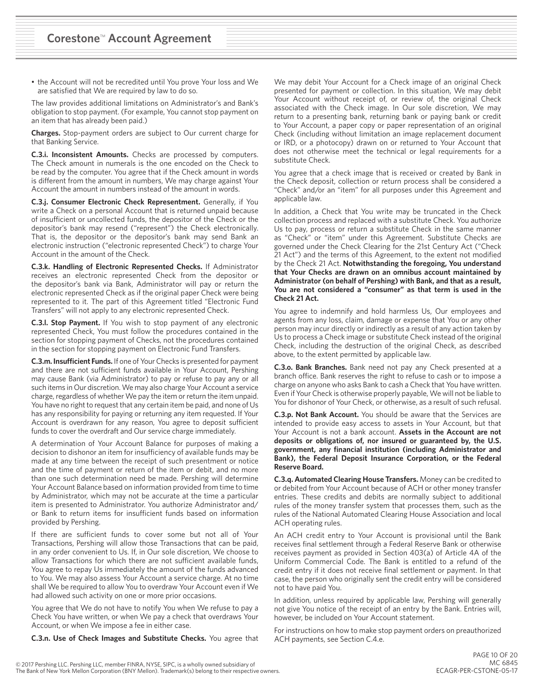• the Account will not be recredited until You prove Your loss and We are satisfied that We are required by law to do so.

The law provides additional limitations on Administrator's and Bank's obligation to stop payment. (For example, You cannot stop payment on an item that has already been paid.)

**Charges.** Stop-payment orders are subject to Our current charge for that Banking Service.

**C.3.i. Inconsistent Amounts.** Checks are processed by computers. The Check amount in numerals is the one encoded on the Check to be read by the computer. You agree that if the Check amount in words is different from the amount in numbers, We may charge against Your Account the amount in numbers instead of the amount in words.

**C.3.j. Consumer Electronic Check Representment.** Generally, if You write a Check on a personal Account that is returned unpaid because of insufficient or uncollected funds, the depositor of the Check or the depositor's bank may resend ("represent") the Check electronically. That is, the depositor or the depositor's bank may send Bank an electronic instruction ("electronic represented Check") to charge Your Account in the amount of the Check.

**C.3.k. Handling of Electronic Represented Checks.** If Administrator receives an electronic represented Check from the depositor or the depositor's bank via Bank, Administrator will pay or return the electronic represented Check as if the original paper Check were being represented to it. The part of this Agreement titled "Electronic Fund Transfers" will not apply to any electronic represented Check.

**C.3.l. Stop Payment.** If You wish to stop payment of any electronic represented Check, You must follow the procedures contained in the section for stopping payment of Checks, not the procedures contained in the section for stopping payment on Electronic Fund Transfers.

**C.3.m. Insufficient Funds.** If one of Your Checks is presented for payment and there are not sufficient funds available in Your Account, Pershing may cause Bank (via Administrator) to pay or refuse to pay any or all such items in Our discretion. We may also charge Your Account a service charge, regardless of whether We pay the item or return the item unpaid. You have no right to request that any certain item be paid, and none of Us has any responsibility for paying or returning any item requested. If Your Account is overdrawn for any reason, You agree to deposit sufficient funds to cover the overdraft and Our service charge immediately.

A determination of Your Account Balance for purposes of making a decision to dishonor an item for insufficiency of available funds may be made at any time between the receipt of such presentment or notice and the time of payment or return of the item or debit, and no more than one such determination need be made. Pershing will determine Your Account Balance based on information provided from time to time by Administrator, which may not be accurate at the time a particular item is presented to Administrator. You authorize Administrator and/ or Bank to return items for insufficient funds based on information provided by Pershing.

If there are sufficient funds to cover some but not all of Your Transactions, Pershing will allow those Transactions that can be paid, in any order convenient to Us. If, in Our sole discretion, We choose to allow Transactions for which there are not sufficient available funds, You agree to repay Us immediately the amount of the funds advanced to You. We may also assess Your Account a service charge. At no time shall We be required to allow You to overdraw Your Account even if We had allowed such activity on one or more prior occasions.

You agree that We do not have to notify You when We refuse to pay a Check You have written, or when We pay a check that overdraws Your Account, or when We impose a fee in either case.

**C.3.n. Use of Check Images and Substitute Checks.** You agree that

We may debit Your Account for a Check image of an original Check presented for payment or collection. In this situation, We may debit Your Account without receipt of, or review of, the original Check associated with the Check image. In Our sole discretion, We may return to a presenting bank, returning bank or paying bank or credit to Your Account, a paper copy or paper representation of an original Check (including without limitation an image replacement document or IRD, or a photocopy) drawn on or returned to Your Account that does not otherwise meet the technical or legal requirements for a substitute Check.

You agree that a check image that is received or created by Bank in the Check deposit, collection or return process shall be considered a "Check" and/or an "item" for all purposes under this Agreement and applicable law.

In addition, a Check that You write may be truncated in the Check collection process and replaced with a substitute Check. You authorize Us to pay, process or return a substitute Check in the same manner as "Check" or "item" under this Agreement. Substitute Checks are governed under the Check Clearing for the 21st Century Act ("Check 21 Act") and the terms of this Agreement, to the extent not modified by the Check 21 Act. **Notwithstanding the foregoing, You understand that Your Checks are drawn on an omnibus account maintained by Administrator (on behalf of Pershing) with Bank, and that as a result, You are not considered a "consumer" as that term is used in the Check 21 Act.**

You agree to indemnify and hold harmless Us, Our employees and agents from any loss, claim, damage or expense that You or any other person may incur directly or indirectly as a result of any action taken by Us to process a Check image or substitute Check instead of the original Check, including the destruction of the original Check, as described above, to the extent permitted by applicable law.

**C.3.o. Bank Branches.** Bank need not pay any Check presented at a branch office. Bank reserves the right to refuse to cash or to impose a charge on anyone who asks Bank to cash a Check that You have written. Even if Your Check is otherwise properly payable, We will not be liable to You for dishonor of Your Check, or otherwise, as a result of such refusal.

**C.3.p. Not Bank Account.** You should be aware that the Services are intended to provide easy access to assets in Your Account, but that Your Account is not a bank account. **Assets in the Account are not deposits or obligations of, nor insured or guaranteed by, the U.S. government, any financial institution (including Administrator and Bank), the Federal Deposit Insurance Corporation, or the Federal Reserve Board.**

**C.3.q. Automated Clearing House Transfers.** Money can be credited to or debited from Your Account because of ACH or other money transfer entries. These credits and debits are normally subject to additional rules of the money transfer system that processes them, such as the rules of the National Automated Clearing House Association and local ACH operating rules.

An ACH credit entry to Your Account is provisional until the Bank receives final settlement through a Federal Reserve Bank or otherwise receives payment as provided in Section 403(a) of Article 4A of the Uniform Commercial Code. The Bank is entitled to a refund of the credit entry if it does not receive final settlement or payment. In that case, the person who originally sent the credit entry will be considered not to have paid You.

In addition, unless required by applicable law, Pershing will generally not give You notice of the receipt of an entry by the Bank. Entries will, however, be included on Your Account statement.

For instructions on how to make stop payment orders on preauthorized ACH payments, see Section C.4.e.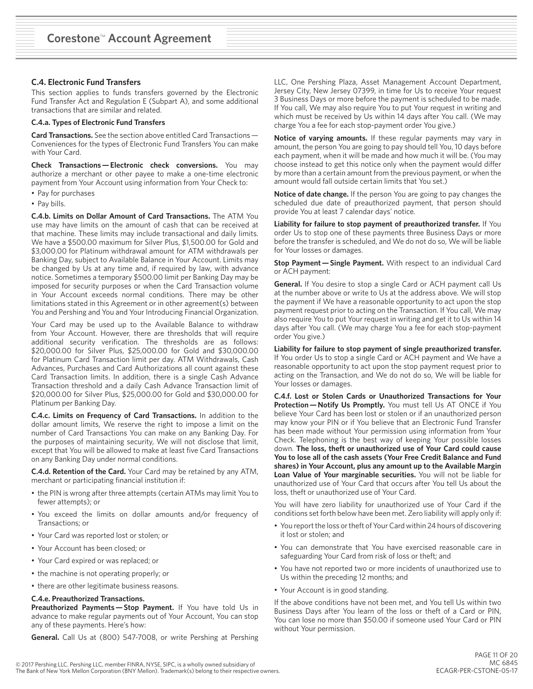# **C.4. Electronic Fund Transfers**

This section applies to funds transfers governed by the Electronic Fund Transfer Act and Regulation E (Subpart A), and some additional transactions that are similar and related.

## **C.4.a. Types of Electronic Fund Transfers**

**Card Transactions.** See the section above entitled Card Transactions —  Conveniences for the types of Electronic Fund Transfers You can make with Your Card.

**Check Transactions — Electronic check conversions.** You may authorize a merchant or other payee to make a one-time electronic payment from Your Account using information from Your Check to:

- Pay for purchases
- Pay bills.

**C.4.b. Limits on Dollar Amount of Card Transactions.** The ATM You use may have limits on the amount of cash that can be received at that machine. These limits may include transactional and daily limits. We have a \$500.00 maximum for Silver Plus, \$1,500.00 for Gold and \$3,000.00 for Platinum withdrawal amount for ATM withdrawals per Banking Day, subject to Available Balance in Your Account. Limits may be changed by Us at any time and, if required by law, with advance notice. Sometimes a temporary \$500.00 limit per Banking Day may be imposed for security purposes or when the Card Transaction volume in Your Account exceeds normal conditions. There may be other limitations stated in this Agreement or in other agreement(s) between You and Pershing and You and Your Introducing Financial Organization.

Your Card may be used up to the Available Balance to withdraw from Your Account. However, there are thresholds that will require additional security verification. The thresholds are as follows: \$20,000.00 for Silver Plus, \$25,000.00 for Gold and \$30,000.00 for Platinum Card Transaction limit per day. ATM Withdrawals, Cash Advances, Purchases and Card Authorizations all count against these Card Transaction limits. In addition, there is a single Cash Advance Transaction threshold and a daily Cash Advance Transaction limit of \$20,000.00 for Silver Plus, \$25,000.00 for Gold and \$30,000.00 for Platinum per Banking Day.

**C.4.c. Limits on Frequency of Card Transactions.** In addition to the dollar amount limits, We reserve the right to impose a limit on the number of Card Transactions You can make on any Banking Day. For the purposes of maintaining security, We will not disclose that limit, except that You will be allowed to make at least five Card Transactions on any Banking Day under normal conditions.

**C.4.d. Retention of the Card.** Your Card may be retained by any ATM, merchant or participating financial institution if:

- the PIN is wrong after three attempts (certain ATMs may limit You to fewer attempts); or
- You exceed the limits on dollar amounts and/or frequency of Transactions; or
- Your Card was reported lost or stolen; or
- Your Account has been closed; or
- Your Card expired or was replaced; or
- the machine is not operating properly; or
- there are other legitimate business reasons.

## **C.4.e. Preauthorized Transactions.**

**Preauthorized Payments — Stop Payment.** If You have told Us in advance to make regular payments out of Your Account, You can stop any of these payments. Here's how:

**General.** Call Us at (800) 547-7008, or write Pershing at Pershing

LLC, One Pershing Plaza, Asset Management Account Department, Jersey City, New Jersey 07399, in time for Us to receive Your request 3 Business Days or more before the payment is scheduled to be made. If You call, We may also require You to put Your request in writing and which must be received by Us within 14 days after You call. (We may charge You a fee for each stop-payment order You give.)

**Notice of varying amounts.** If these regular payments may vary in amount, the person You are going to pay should tell You, 10 days before each payment, when it will be made and how much it will be. (You may choose instead to get this notice only when the payment would differ by more than a certain amount from the previous payment, or when the amount would fall outside certain limits that You set.)

**Notice of date change.** If the person You are going to pay changes the scheduled due date of preauthorized payment, that person should provide You at least 7 calendar days' notice.

**Liability for failure to stop payment of preauthorized transfer.** If You order Us to stop one of these payments three Business Days or more before the transfer is scheduled, and We do not do so, We will be liable for Your losses or damages.

**Stop Payment — Single Payment.** With respect to an individual Card or ACH payment:

**General.** If You desire to stop a single Card or ACH payment call Us at the number above or write to Us at the address above. We will stop the payment if We have a reasonable opportunity to act upon the stop payment request prior to acting on the Transaction. If You call, We may also require You to put Your request in writing and get it to Us within 14 days after You call. (We may charge You a fee for each stop-payment order You give.)

**Liability for failure to stop payment of single preauthorized transfer.** If You order Us to stop a single Card or ACH payment and We have a reasonable opportunity to act upon the stop payment request prior to acting on the Transaction, and We do not do so, We will be liable for Your losses or damages.

**C.4.f. Lost or Stolen Cards or Unauthorized Transactions for Your Protection — Notify Us Promptly.** You must tell Us AT ONCE if You believe Your Card has been lost or stolen or if an unauthorized person may know your PIN or if You believe that an Electronic Fund Transfer has been made without Your permission using information from Your Check. Telephoning is the best way of keeping Your possible losses down. **The loss, theft or unauthorized use of Your Card could cause You to lose all of the cash assets (Your Free Credit Balance and Fund shares) in Your Account, plus any amount up to the Available Margin Loan Value of Your marginable securities.** You will not be liable for unauthorized use of Your Card that occurs after You tell Us about the loss, theft or unauthorized use of Your Card.

You will have zero liability for unauthorized use of Your Card if the conditions set forth below have been met. Zero liability will apply only if:

- You report the loss or theft of Your Card within 24 hours of discovering it lost or stolen; and
- You can demonstrate that You have exercised reasonable care in safeguarding Your Card from risk of loss or theft; and
- You have not reported two or more incidents of unauthorized use to Us within the preceding 12 months; and
- Your Account is in good standing.

If the above conditions have not been met, and You tell Us within two Business Days after You learn of the loss or theft of a Card or PIN, You can lose no more than \$50.00 if someone used Your Card or PIN without Your permission.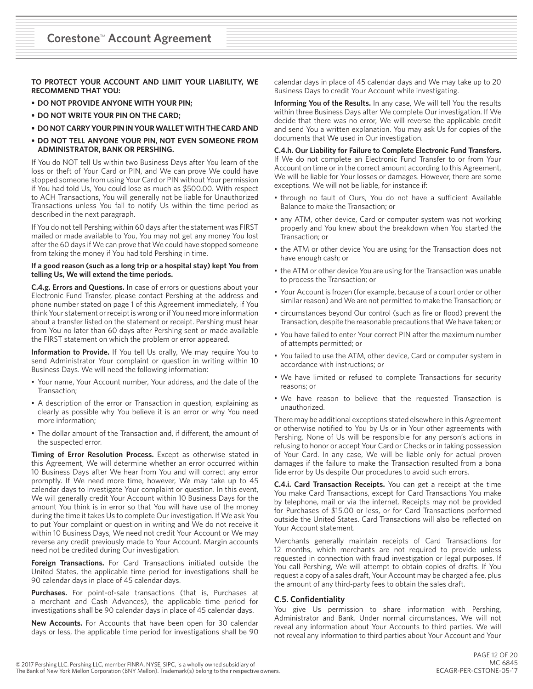**TO PROTECT YOUR ACCOUNT AND LIMIT YOUR LIABILITY, WE RECOMMEND THAT YOU:**

- **• DO NOT PROVIDE ANYONE WITH YOUR PIN;**
- **• DO NOT WRITE YOUR PIN ON THE CARD;**
- **• DO NOT CARRY YOUR PIN IN YOUR WALLET WITH THE CARD AND**
- **• DO NOT TELL ANYONE YOUR PIN, NOT EVEN SOMEONE FROM ADMINISTRATOR, BANK OR PERSHING.**

If You do NOT tell Us within two Business Days after You learn of the loss or theft of Your Card or PIN, and We can prove We could have stopped someone from using Your Card or PIN without Your permission if You had told Us, You could lose as much as \$500.00. With respect to ACH Transactions, You will generally not be liable for Unauthorized Transactions unless You fail to notify Us within the time period as described in the next paragraph.

If You do not tell Pershing within 60 days after the statement was FIRST mailed or made available to You, You may not get any money You lost after the 60 days if We can prove that We could have stopped someone from taking the money if You had told Pershing in time.

#### **If a good reason (such as a long trip or a hospital stay) kept You from telling Us, We will extend the time periods.**

**C.4.g. Errors and Questions.** In case of errors or questions about your Electronic Fund Transfer, please contact Pershing at the address and phone number stated on page 1 of this Agreement immediately, if You think Your statement or receipt is wrong or if You need more information about a transfer listed on the statement or receipt. Pershing must hear from You no later than 60 days after Pershing sent or made available the FIRST statement on which the problem or error appeared.

**Information to Provide.** If You tell Us orally, We may require You to send Administrator Your complaint or question in writing within 10 Business Days. We will need the following information:

- Your name, Your Account number, Your address, and the date of the Transaction;
- A description of the error or Transaction in question, explaining as clearly as possible why You believe it is an error or why You need more information;
- The dollar amount of the Transaction and, if different, the amount of the suspected error.

**Timing of Error Resolution Process.** Except as otherwise stated in this Agreement, We will determine whether an error occurred within 10 Business Days after We hear from You and will correct any error promptly. If We need more time, however, We may take up to 45 calendar days to investigate Your complaint or question. In this event, We will generally credit Your Account within 10 Business Days for the amount You think is in error so that You will have use of the money during the time it takes Us to complete Our investigation. If We ask You to put Your complaint or question in writing and We do not receive it within 10 Business Days, We need not credit Your Account or We may reverse any credit previously made to Your Account. Margin accounts need not be credited during Our investigation.

**Foreign Transactions.** For Card Transactions initiated outside the United States, the applicable time period for investigations shall be 90 calendar days in place of 45 calendar days.

**Purchases.** For point-of-sale transactions (that is, Purchases at a merchant and Cash Advances), the applicable time period for investigations shall be 90 calendar days in place of 45 calendar days.

**New Accounts.** For Accounts that have been open for 30 calendar days or less, the applicable time period for investigations shall be 90

calendar days in place of 45 calendar days and We may take up to 20 Business Days to credit Your Account while investigating.

**Informing You of the Results.** In any case, We will tell You the results within three Business Days after We complete Our investigation. If We decide that there was no error, We will reverse the applicable credit and send You a written explanation. You may ask Us for copies of the documents that We used in Our investigation.

**C.4.h. Our Liability for Failure to Complete Electronic Fund Transfers.**  If We do not complete an Electronic Fund Transfer to or from Your Account on time or in the correct amount according to this Agreement, We will be liable for Your losses or damages. However, there are some exceptions. We will not be liable, for instance if:

- through no fault of Ours, You do not have a sufficient Available Balance to make the Transaction; or
- any ATM, other device, Card or computer system was not working properly and You knew about the breakdown when You started the Transaction; or
- the ATM or other device You are using for the Transaction does not have enough cash; or
- the ATM or other device You are using for the Transaction was unable to process the Transaction; or
- Your Account is frozen (for example, because of a court order or other similar reason) and We are not permitted to make the Transaction; or
- circumstances beyond Our control (such as fire or flood) prevent the Transaction, despite the reasonable precautions that We have taken; or
- You have failed to enter Your correct PIN after the maximum number of attempts permitted; or
- You failed to use the ATM, other device, Card or computer system in accordance with instructions; or
- We have limited or refused to complete Transactions for security reasons; or
- We have reason to believe that the requested Transaction is unauthorized.

There may be additional exceptions stated elsewhere in this Agreement or otherwise notified to You by Us or in Your other agreements with Pershing. None of Us will be responsible for any person's actions in refusing to honor or accept Your Card or Checks or in taking possession of Your Card. In any case, We will be liable only for actual proven damages if the failure to make the Transaction resulted from a bona fide error by Us despite Our procedures to avoid such errors.

**C.4.i. Card Transaction Receipts.** You can get a receipt at the time You make Card Transactions, except for Card Transactions You make by telephone, mail or via the internet. Receipts may not be provided for Purchases of \$15.00 or less, or for Card Transactions performed outside the United States. Card Transactions will also be reflected on Your Account statement.

Merchants generally maintain receipts of Card Transactions for 12 months, which merchants are not required to provide unless requested in connection with fraud investigation or legal purposes. If You call Pershing, We will attempt to obtain copies of drafts. If You request a copy of a sales draft, Your Account may be charged a fee, plus the amount of any third-party fees to obtain the sales draft.

### **C.5. Confidentiality**

You give Us permission to share information with Pershing, Administrator and Bank. Under normal circumstances, We will not reveal any information about Your Accounts to third parties. We will not reveal any information to third parties about Your Account and Your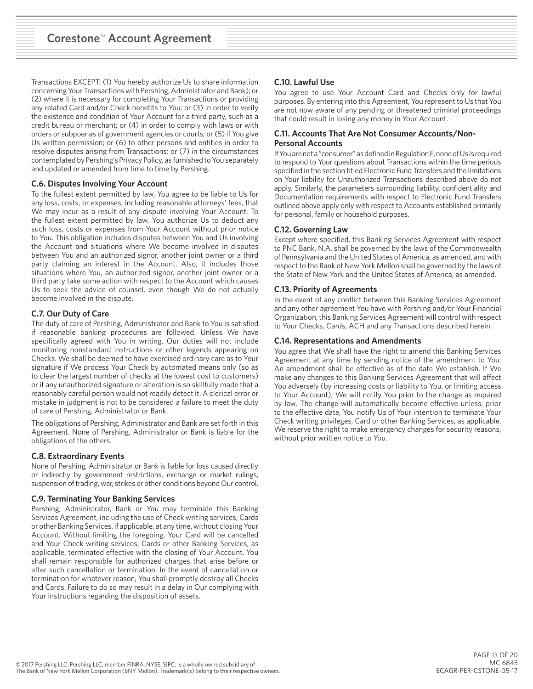Transactions EXCEPT: (1) You hereby authorize Us to share information concerning Your Transactions with Pershing, Administrator and Bank); or (2) where it is necessary for completing Your Transactions or providing any related Card and/or Check benefits to You; or (3) in order to verify the existence and condition of Your Account for a third party, such as a credit bureau or merchant; or (4) in order to comply with laws or with orders or subpoenas of government agencies or courts; or (5) if You give Us written permission; or (6) to other persons and entities in order to resolve disputes arising from Transactions; or (7) in the circumstances contemplated by Pershing's Privacy Policy, as furnished to You separately and updated or amended from time to time by Pershing.

### **C.6. Disputes Involving Your Account**

To the fullest extent permitted by law, You agree to be liable to Us for any loss, costs, or expenses, including reasonable attorneys' fees, that We may incur as a result of any dispute involving Your Account. To the fullest extent permitted by law, You authorize Us to deduct any such loss, costs or expenses from Your Account without prior notice to You. This obligation includes disputes between You and Us involving the Account and situations where We become involved in disputes between You and an authorized signor, another joint owner or a third party claiming an interest in the Account. Also, it includes those situations where You, an authorized signor, another joint owner or a third party take some action with respect to the Account which causes Us to seek the advice of counsel, even though We do not actually become involved in the dispute.

# **C.7. Our Duty of Care**

The duty of care of Pershing, Administrator and Bank to You is satisfied if reasonable banking procedures are followed. Unless We have specifically agreed with You in writing, Our duties will not include monitoring nonstandard instructions or other legends appearing on Checks. We shall be deemed to have exercised ordinary care as to Your signature if We process Your Check by automated means only (so as to clear the largest number of checks at the lowest cost to customers) or if any unauthorized signature or alteration is so skillfully made that a reasonably careful person would not readily detect it. A clerical error or mistake in judgment is not to be considered a failure to meet the duty of care of Pershing, Administrator or Bank.

The obligations of Pershing, Administrator and Bank are set forth in this Agreement. None of Pershing, Administrator or Bank is liable for the obligations of the others.

# **C.8. Extraordinary Events**

None of Pershing, Administrator or Bank is liable for loss caused directly or indirectly by government restrictions, exchange or market rulings, suspension of trading, war, strikes or other conditions beyond Our control.

# **C.9. Terminating Your Banking Services**

Pershing, Administrator, Bank or You may terminate this Banking Services Agreement, including the use of Check writing services, Cards or other Banking Services, if applicable, at any time, without closing Your Account. Without limiting the foregoing, Your Card will be cancelled and Your Check writing services, Cards or other Banking Services, as applicable, terminated effective with the closing of Your Account. You shall remain responsible for authorized charges that arise before or after such cancellation or termination. In the event of cancellation or termination for whatever reason, You shall promptly destroy all Checks and Cards. Failure to do so may result in a delay in Our complying with Your instructions regarding the disposition of assets.

# **C.10. Lawful Use**

You agree to use Your Account Card and Checks only for lawful purposes. By entering into this Agreement, You represent to Us that You are not now aware of any pending or threatened criminal proceedings that could result in losing any money in Your Account.

# **C.11. Accounts That Are Not Consumer Accounts/Non-Personal Accounts**

If You are not a "consumer" as defined in Regulation E, none of Us is required to respond to Your questions about Transactions within the time periods specified in the section titled Electronic Fund Transfers and the limitations on Your liability for Unauthorized Transactions described above do not apply. Similarly, the parameters surrounding liability, confidentiality and Documentation requirements with respect to Electronic Fund Transfers outlined above apply only with respect to Accounts established primarily for personal, family or household purposes.

# **C.12. Governing Law**

Except where specified, this Banking Services Agreement with respect to PNC Bank, N.A. shall be governed by the laws of the Commonwealth of Pennsylvania and the United States of America, as amended, and with respect to the Bank of New York Mellon shall be governed by the laws of the State of New York and the United States of America, as amended.

### **C.13. Priority of Agreements**

In the event of any conflict between this Banking Services Agreement and any other agreement You have with Pershing and/or Your Financial Organization, this Banking Services Agreement will control with respect to Your Checks, Cards, ACH and any Transactions described herein.

# **C.14. Representations and Amendments**

You agree that We shall have the right to amend this Banking Services Agreement at any time by sending notice of the amendment to You. An amendment shall be effective as of the date We establish. If We make any changes to this Banking Services Agreement that will affect You adversely (by increasing costs or liability to You, or limiting access to Your Account), We will notify You prior to the change as required by law. The change will automatically become effective unless, prior to the effective date, You notify Us of Your intention to terminate Your Check writing privileges, Card or other Banking Services, as applicable. We reserve the right to make emergency changes for security reasons, without prior written notice to You.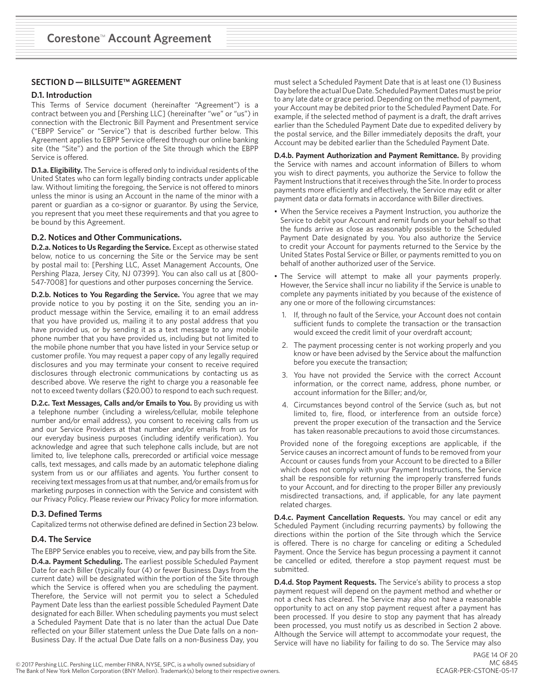# **SECTION D — BILLSUITE™ AGREEMENT**

#### **D.1. Introduction**

This Terms of Service document (hereinafter "Agreement") is a contract between you and [Pershing LLC] (hereinafter "we" or "us") in connection with the Electronic Bill Payment and Presentment service ("EBPP Service" or "Service") that is described further below. This Agreement applies to EBPP Service offered through our online banking site (the "Site") and the portion of the Site through which the EBPP Service is offered.

**D.1.a. Eligibility.** The Service is offered only to individual residents of the United States who can form legally binding contracts under applicable law. Without limiting the foregoing, the Service is not offered to minors unless the minor is using an Account in the name of the minor with a parent or guardian as a co-signor or guarantor. By using the Service, you represent that you meet these requirements and that you agree to be bound by this Agreement.

#### **D.2. Notices and Other Communications.**

**D.2.a. Notices to Us Regarding the Service.** Except as otherwise stated below, notice to us concerning the Site or the Service may be sent by postal mail to: [Pershing LLC, Asset Management Accounts, One Pershing Plaza, Jersey City, NJ 07399]. You can also call us at [800- 547-7008] for questions and other purposes concerning the Service.

**D.2.b. Notices to You Regarding the Service.** You agree that we may provide notice to you by posting it on the Site, sending you an inproduct message within the Service, emailing it to an email address that you have provided us, mailing it to any postal address that you have provided us, or by sending it as a text message to any mobile phone number that you have provided us, including but not limited to the mobile phone number that you have listed in your Service setup or customer profile. You may request a paper copy of any legally required disclosures and you may terminate your consent to receive required disclosures through electronic communications by contacting us as described above. We reserve the right to charge you a reasonable fee not to exceed twenty dollars (\$20.00) to respond to each such request.

**D.2.c. Text Messages, Calls and/or Emails to You.** By providing us with a telephone number (including a wireless/cellular, mobile telephone number and/or email address), you consent to receiving calls from us and our Service Providers at that number and/or emails from us for our everyday business purposes (including identify verification). You acknowledge and agree that such telephone calls include, but are not limited to, live telephone calls, prerecorded or artificial voice message calls, text messages, and calls made by an automatic telephone dialing system from us or our affiliates and agents. You further consent to receiving text messages from us at that number, and/or emails from us for marketing purposes in connection with the Service and consistent with our Privacy Policy. Please review our Privacy Policy for more information.

### **D.3. Defined Terms**

Capitalized terms not otherwise defined are defined in Section 23 below.

### **D.4. The Service**

The EBPP Service enables you to receive, view, and pay bills from the Site.

**D.4.a. Payment Scheduling.** The earliest possible Scheduled Payment Date for each Biller (typically four (4) or fewer Business Days from the current date) will be designated within the portion of the Site through which the Service is offered when you are scheduling the payment. Therefore, the Service will not permit you to select a Scheduled Payment Date less than the earliest possible Scheduled Payment Date designated for each Biller. When scheduling payments you must select a Scheduled Payment Date that is no later than the actual Due Date reflected on your Biller statement unless the Due Date falls on a non-Business Day. If the actual Due Date falls on a non-Business Day, you must select a Scheduled Payment Date that is at least one (1) Business Day before the actual Due Date. Scheduled Payment Dates must be prior to any late date or grace period. Depending on the method of payment, your Account may be debited prior to the Scheduled Payment Date. For example, if the selected method of payment is a draft, the draft arrives earlier than the Scheduled Payment Date due to expedited delivery by the postal service, and the Biller immediately deposits the draft, your Account may be debited earlier than the Scheduled Payment Date.

**D.4.b. Payment Authorization and Payment Remittance.** By providing the Service with names and account information of Billers to whom you wish to direct payments, you authorize the Service to follow the Payment Instructions that it receives through the Site. In order to process payments more efficiently and effectively, the Service may edit or alter payment data or data formats in accordance with Biller directives.

- When the Service receives a Payment Instruction, you authorize the Service to debit your Account and remit funds on your behalf so that the funds arrive as close as reasonably possible to the Scheduled Payment Date designated by you. You also authorize the Service to credit your Account for payments returned to the Service by the United States Postal Service or Biller, or payments remitted to you on behalf of another authorized user of the Service.
- The Service will attempt to make all your payments properly. However, the Service shall incur no liability if the Service is unable to complete any payments initiated by you because of the existence of any one or more of the following circumstances:
	- 1. If, through no fault of the Service, your Account does not contain sufficient funds to complete the transaction or the transaction would exceed the credit limit of your overdraft account;
	- 2. The payment processing center is not working properly and you know or have been advised by the Service about the malfunction before you execute the transaction;
	- 3. You have not provided the Service with the correct Account information, or the correct name, address, phone number, or account information for the Biller; and/or,
	- 4. Circumstances beyond control of the Service (such as, but not limited to, fire, flood, or interference from an outside force) prevent the proper execution of the transaction and the Service has taken reasonable precautions to avoid those circumstances.

Provided none of the foregoing exceptions are applicable, if the Service causes an incorrect amount of funds to be removed from your Account or causes funds from your Account to be directed to a Biller which does not comply with your Payment Instructions, the Service shall be responsible for returning the improperly transferred funds to your Account, and for directing to the proper Biller any previously misdirected transactions, and, if applicable, for any late payment related charges.

**D.4.c. Payment Cancellation Requests.** You may cancel or edit any Scheduled Payment (including recurring payments) by following the directions within the portion of the Site through which the Service is offered. There is no charge for canceling or editing a Scheduled Payment. Once the Service has begun processing a payment it cannot be cancelled or edited, therefore a stop payment request must be submitted.

**D.4.d. Stop Payment Requests.** The Service's ability to process a stop payment request will depend on the payment method and whether or not a check has cleared. The Service may also not have a reasonable opportunity to act on any stop payment request after a payment has been processed. If you desire to stop any payment that has already been processed, you must notify us as described in Section 2 above. Although the Service will attempt to accommodate your request, the Service will have no liability for failing to do so. The Service may also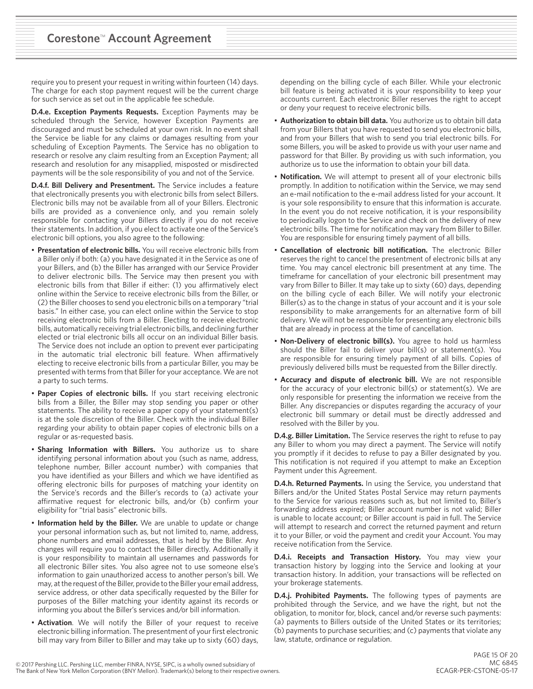require you to present your request in writing within fourteen (14) days. The charge for each stop payment request will be the current charge for such service as set out in the applicable fee schedule.

**D.4.e. Exception Payments Requests.** Exception Payments may be scheduled through the Service, however Exception Payments are discouraged and must be scheduled at your own risk. In no event shall the Service be liable for any claims or damages resulting from your scheduling of Exception Payments. The Service has no obligation to research or resolve any claim resulting from an Exception Payment; all research and resolution for any misapplied, misposted or misdirected payments will be the sole responsibility of you and not of the Service.

**D.4.f. Bill Delivery and Presentment.** The Service includes a feature that electronically presents you with electronic bills from select Billers. Electronic bills may not be available from all of your Billers. Electronic bills are provided as a convenience only, and you remain solely responsible for contacting your Billers directly if you do not receive their statements. In addition, if you elect to activate one of the Service's electronic bill options, you also agree to the following:

- **Presentation of electronic bills.** You will receive electronic bills from a Biller only if both: (a) you have designated it in the Service as one of your Billers, and (b) the Biller has arranged with our Service Provider to deliver electronic bills. The Service may then present you with electronic bills from that Biller if either: (1) you affirmatively elect online within the Service to receive electronic bills from the Biller, or (2) the Biller chooses to send you electronic bills on a temporary "trial basis." In either case, you can elect online within the Service to stop receiving electronic bills from a Biller. Electing to receive electronic bills, automatically receiving trial electronic bills, and declining further elected or trial electronic bills all occur on an individual Biller basis. The Service does not include an option to prevent ever participating in the automatic trial electronic bill feature. When affirmatively electing to receive electronic bills from a particular Biller, you may be presented with terms from that Biller for your acceptance. We are not a party to such terms.
- **Paper Copies of electronic bills.** If you start receiving electronic bills from a Biller, the Biller may stop sending you paper or other statements. The ability to receive a paper copy of your statement(s) is at the sole discretion of the Biller. Check with the individual Biller regarding your ability to obtain paper copies of electronic bills on a regular or as-requested basis.
- **Sharing Information with Billers.** You authorize us to share identifying personal information about you (such as name, address, telephone number, Biller account number) with companies that you have identified as your Billers and which we have identified as offering electronic bills for purposes of matching your identity on the Service's records and the Biller's records to (a) activate your affirmative request for electronic bills, and/or (b) confirm your eligibility for "trial basis" electronic bills.
- **Information held by the Biller.** We are unable to update or change your personal information such as, but not limited to, name, address, phone numbers and email addresses, that is held by the Biller. Any changes will require you to contact the Biller directly. Additionally it is your responsibility to maintain all usernames and passwords for all electronic Biller sites. You also agree not to use someone else's information to gain unauthorized access to another person's bill. We may, at the request of the Biller, provide to the Biller your email address, service address, or other data specifically requested by the Biller for purposes of the Biller matching your identity against its records or informing you about the Biller's services and/or bill information.
- **Activation**. We will notify the Biller of your request to receive electronic billing information. The presentment of your first electronic bill may vary from Biller to Biller and may take up to sixty (60) days,

depending on the billing cycle of each Biller. While your electronic bill feature is being activated it is your responsibility to keep your accounts current. Each electronic Biller reserves the right to accept or deny your request to receive electronic bills.

- **Authorization to obtain bill data.** You authorize us to obtain bill data from your Billers that you have requested to send you electronic bills, and from your Billers that wish to send you trial electronic bills. For some Billers, you will be asked to provide us with your user name and password for that Biller. By providing us with such information, you authorize us to use the information to obtain your bill data.
- **Notification.** We will attempt to present all of your electronic bills promptly. In addition to notification within the Service, we may send an e-mail notification to the e-mail address listed for your account. It is your sole responsibility to ensure that this information is accurate. In the event you do not receive notification, it is your responsibility to periodically logon to the Service and check on the delivery of new electronic bills. The time for notification may vary from Biller to Biller. You are responsible for ensuring timely payment of all bills.
- **Cancellation of electronic bill notification.** The electronic Biller reserves the right to cancel the presentment of electronic bills at any time. You may cancel electronic bill presentment at any time. The timeframe for cancellation of your electronic bill presentment may vary from Biller to Biller. It may take up to sixty (60) days, depending on the billing cycle of each Biller. We will notify your electronic Biller(s) as to the change in status of your account and it is your sole responsibility to make arrangements for an alternative form of bill delivery. We will not be responsible for presenting any electronic bills that are already in process at the time of cancellation.
- **Non-Delivery of electronic bill(s).** You agree to hold us harmless should the Biller fail to deliver your bill(s) or statement(s). You are responsible for ensuring timely payment of all bills. Copies of previously delivered bills must be requested from the Biller directly.
- **Accuracy and dispute of electronic bill.** We are not responsible for the accuracy of your electronic bill(s) or statement(s). We are only responsible for presenting the information we receive from the Biller. Any discrepancies or disputes regarding the accuracy of your electronic bill summary or detail must be directly addressed and resolved with the Biller by you.

**D.4.g. Biller Limitation.** The Service reserves the right to refuse to pay any Biller to whom you may direct a payment. The Service will notify you promptly if it decides to refuse to pay a Biller designated by you. This notification is not required if you attempt to make an Exception Payment under this Agreement.

**D.4.h. Returned Payments.** In using the Service, you understand that Billers and/or the United States Postal Service may return payments to the Service for various reasons such as, but not limited to, Biller's forwarding address expired; Biller account number is not valid; Biller is unable to locate account; or Biller account is paid in full. The Service will attempt to research and correct the returned payment and return it to your Biller, or void the payment and credit your Account. You may receive notification from the Service.

**D.4.i. Receipts and Transaction History.** You may view your transaction history by logging into the Service and looking at your transaction history. In addition, your transactions will be reflected on your brokerage statements.

**D.4.j. Prohibited Payments.** The following types of payments are prohibited through the Service, and we have the right, but not the obligation, to monitor for, block, cancel and/or reverse such payments: (a) payments to Billers outside of the United States or its territories; (b) payments to purchase securities; and (c) payments that violate any law, statute, ordinance or regulation.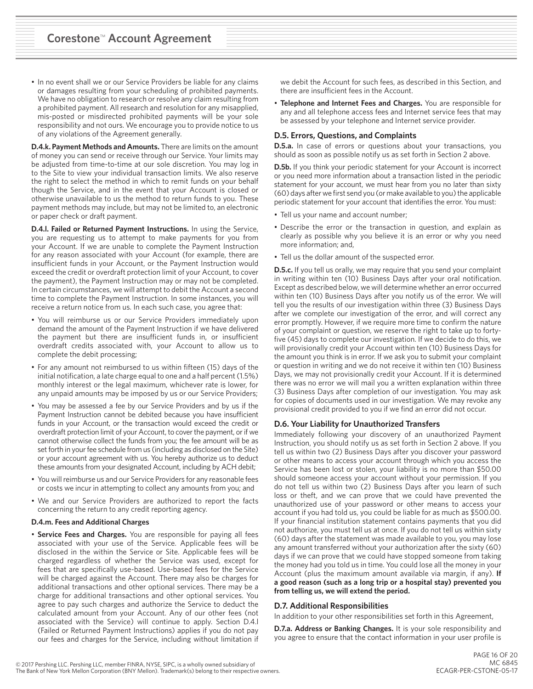• In no event shall we or our Service Providers be liable for any claims or damages resulting from your scheduling of prohibited payments. We have no obligation to research or resolve any claim resulting from a prohibited payment. All research and resolution for any misapplied, mis-posted or misdirected prohibited payments will be your sole responsibility and not ours. We encourage you to provide notice to us of any violations of the Agreement generally.

**D.4.k. Payment Methods and Amounts.** There are limits on the amount of money you can send or receive through our Service. Your limits may be adjusted from time-to-time at our sole discretion. You may log in to the Site to view your individual transaction limits. We also reserve the right to select the method in which to remit funds on your behalf though the Service, and in the event that your Account is closed or otherwise unavailable to us the method to return funds to you. These payment methods may include, but may not be limited to, an electronic or paper check or draft payment.

**D.4.l. Failed or Returned Payment Instructions.** In using the Service, you are requesting us to attempt to make payments for you from your Account. If we are unable to complete the Payment Instruction for any reason associated with your Account (for example, there are insufficient funds in your Account, or the Payment Instruction would exceed the credit or overdraft protection limit of your Account, to cover the payment), the Payment Instruction may or may not be completed. In certain circumstances, we will attempt to debit the Account a second time to complete the Payment Instruction. In some instances, you will receive a return notice from us. In each such case, you agree that:

- You will reimburse us or our Service Providers immediately upon demand the amount of the Payment Instruction if we have delivered the payment but there are insufficient funds in, or insufficient overdraft credits associated with, your Account to allow us to complete the debit processing;
- For any amount not reimbursed to us within fifteen (15) days of the initial notification, a late charge equal to one and a half percent (1.5%) monthly interest or the legal maximum, whichever rate is lower, for any unpaid amounts may be imposed by us or our Service Providers;
- You may be assessed a fee by our Service Providers and by us if the Payment Instruction cannot be debited because you have insufficient funds in your Account, or the transaction would exceed the credit or overdraft protection limit of your Account, to cover the payment, or if we cannot otherwise collect the funds from you; the fee amount will be as set forth in your fee schedule from us (including as disclosed on the Site) or your account agreement with us. You hereby authorize us to deduct these amounts from your designated Account, including by ACH debit;
- You will reimburse us and our Service Providers for any reasonable fees or costs we incur in attempting to collect any amounts from you; and
- We and our Service Providers are authorized to report the facts concerning the return to any credit reporting agency.

#### **D.4.m. Fees and Additional Charges**

• **Service Fees and Charges.** You are responsible for paying all fees associated with your use of the Service. Applicable fees will be disclosed in the within the Service or Site. Applicable fees will be charged regardless of whether the Service was used, except for fees that are specifically use-based. Use-based fees for the Service will be charged against the Account. There may also be charges for additional transactions and other optional services. There may be a charge for additional transactions and other optional services. You agree to pay such charges and authorize the Service to deduct the calculated amount from your Account. Any of our other fees (not associated with the Service) will continue to apply. Section D.4.l (Failed or Returned Payment Instructions) applies if you do not pay our fees and charges for the Service, including without limitation if we debit the Account for such fees, as described in this Section, and there are insufficient fees in the Account.

• **Telephone and Internet Fees and Charges.** You are responsible for any and all telephone access fees and Internet service fees that may be assessed by your telephone and Internet service provider.

### **D.5. Errors, Questions, and Complaints**

**D.5.a.** In case of errors or questions about your transactions, you should as soon as possible notify us as set forth in Section 2 above.

**D.5b.** If you think your periodic statement for your Account is incorrect or you need more information about a transaction listed in the periodic statement for your account, we must hear from you no later than sixty (60) days after we first send you (or make available to you) the applicable periodic statement for your account that identifies the error. You must:

- Tell us your name and account number;
- Describe the error or the transaction in question, and explain as clearly as possible why you believe it is an error or why you need more information; and,
- Tell us the dollar amount of the suspected error.

**D.5.c.** If you tell us orally, we may require that you send your complaint in writing within ten (10) Business Days after your oral notification. Except as described below, we will determine whether an error occurred within ten (10) Business Days after you notify us of the error. We will tell you the results of our investigation within three (3) Business Days after we complete our investigation of the error, and will correct any error promptly. However, if we require more time to confirm the nature of your complaint or question, we reserve the right to take up to fortyfive (45) days to complete our investigation. If we decide to do this, we will provisionally credit your Account within ten (10) Business Days for the amount you think is in error. If we ask you to submit your complaint or question in writing and we do not receive it within ten (10) Business Days, we may not provisionally credit your Account. If it is determined there was no error we will mail you a written explanation within three (3) Business Days after completion of our investigation. You may ask for copies of documents used in our investigation. We may revoke any provisional credit provided to you if we find an error did not occur.

#### **D.6. Your Liability for Unauthorized Transfers**

Immediately following your discovery of an unauthorized Payment Instruction, you should notify us as set forth in Section 2 above. If you tell us within two (2) Business Days after you discover your password or other means to access your account through which you access the Service has been lost or stolen, your liability is no more than \$50.00 should someone access your account without your permission. If you do not tell us within two (2) Business Days after you learn of such loss or theft, and we can prove that we could have prevented the unauthorized use of your password or other means to access your account if you had told us, you could be liable for as much as \$500.00. If your financial institution statement contains payments that you did not authorize, you must tell us at once. If you do not tell us within sixty (60) days after the statement was made available to you, you may lose any amount transferred without your authorization after the sixty (60) days if we can prove that we could have stopped someone from taking the money had you told us in time. You could lose all the money in your Account (plus the maximum amount available via margin, if any). **If a good reason (such as a long trip or a hospital stay) prevented you from telling us, we will extend the period.** 

#### **D.7. Additional Responsibilities**

In addition to your other responsibilities set forth in this Agreement,

**D.7.a. Address or Banking Changes.** It is your sole responsibility and you agree to ensure that the contact information in your user profile is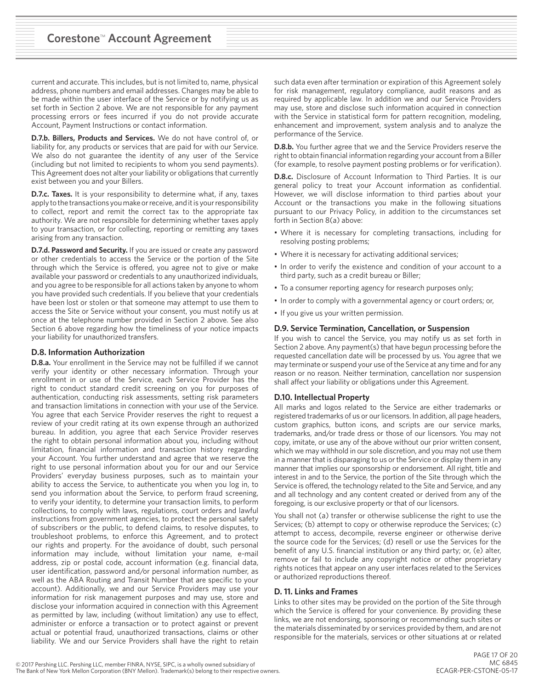current and accurate. This includes, but is not limited to, name, physical address, phone numbers and email addresses. Changes may be able to be made within the user interface of the Service or by notifying us as set forth in Section 2 above. We are not responsible for any payment processing errors or fees incurred if you do not provide accurate Account, Payment Instructions or contact information.

**D.7.b. Billers, Products and Services.** We do not have control of, or liability for, any products or services that are paid for with our Service. We also do not guarantee the identity of any user of the Service (including but not limited to recipients to whom you send payments). This Agreement does not alter your liability or obligations that currently exist between you and your Billers.

**D.7.c. Taxes.** It is your responsibility to determine what, if any, taxes apply to the transactions you make or receive, and it is your responsibility to collect, report and remit the correct tax to the appropriate tax authority. We are not responsible for determining whether taxes apply to your transaction, or for collecting, reporting or remitting any taxes arising from any transaction.

**D.7.d. Password and Security.** If you are issued or create any password or other credentials to access the Service or the portion of the Site through which the Service is offered, you agree not to give or make available your password or credentials to any unauthorized individuals, and you agree to be responsible for all actions taken by anyone to whom you have provided such credentials. If you believe that your credentials have been lost or stolen or that someone may attempt to use them to access the Site or Service without your consent, you must notify us at once at the telephone number provided in Section 2 above. See also Section 6 above regarding how the timeliness of your notice impacts your liability for unauthorized transfers.

### **D.8. Information Authorization**

**D.8.a.** Your enrollment in the Service may not be fulfilled if we cannot verify your identity or other necessary information. Through your enrollment in or use of the Service, each Service Provider has the right to conduct standard credit screening on you for purposes of authentication, conducting risk assessments, setting risk parameters and transaction limitations in connection with your use of the Service. You agree that each Service Provider reserves the right to request a review of your credit rating at its own expense through an authorized bureau. In addition, you agree that each Service Provider reserves the right to obtain personal information about you, including without limitation, financial information and transaction history regarding your Account. You further understand and agree that we reserve the right to use personal information about you for our and our Service Providers' everyday business purposes, such as to maintain your ability to access the Service, to authenticate you when you log in, to send you information about the Service, to perform fraud screening, to verify your identity, to determine your transaction limits, to perform collections, to comply with laws, regulations, court orders and lawful instructions from government agencies, to protect the personal safety of subscribers or the public, to defend claims, to resolve disputes, to troubleshoot problems, to enforce this Agreement, and to protect our rights and property. For the avoidance of doubt, such personal information may include, without limitation your name, e-mail address, zip or postal code, account information (e.g. financial data, user identification, password and/or personal information number, as well as the ABA Routing and Transit Number that are specific to your account). Additionally, we and our Service Providers may use your information for risk management purposes and may use, store and disclose your information acquired in connection with this Agreement as permitted by law, including (without limitation) any use to effect, administer or enforce a transaction or to protect against or prevent actual or potential fraud, unauthorized transactions, claims or other liability. We and our Service Providers shall have the right to retain such data even after termination or expiration of this Agreement solely for risk management, regulatory compliance, audit reasons and as required by applicable law. In addition we and our Service Providers may use, store and disclose such information acquired in connection with the Service in statistical form for pattern recognition, modeling, enhancement and improvement, system analysis and to analyze the performance of the Service.

**D.8.b.** You further agree that we and the Service Providers reserve the right to obtain financial information regarding your account from a Biller (for example, to resolve payment posting problems or for verification).

**D.8.c.** Disclosure of Account Information to Third Parties. It is our general policy to treat your Account information as confidential. However, we will disclose information to third parties about your Account or the transactions you make in the following situations pursuant to our Privacy Policy, in addition to the circumstances set forth in Section 8(a) above:

- Where it is necessary for completing transactions, including for resolving posting problems;
- Where it is necessary for activating additional services;
- In order to verify the existence and condition of your account to a third party, such as a credit bureau or Biller;
- To a consumer reporting agency for research purposes only;
- In order to comply with a governmental agency or court orders; or,
- If you give us your written permission.

### **D.9. Service Termination, Cancellation, or Suspension**

If you wish to cancel the Service, you may notify us as set forth in Section 2 above. Any payment(s) that have begun processing before the requested cancellation date will be processed by us. You agree that we may terminate or suspend your use of the Service at any time and for any reason or no reason. Neither termination, cancellation nor suspension shall affect your liability or obligations under this Agreement.

### **D.10. Intellectual Property**

All marks and logos related to the Service are either trademarks or registered trademarks of us or our licensors. In addition, all page headers, custom graphics, button icons, and scripts are our service marks, trademarks, and/or trade dress or those of our licensors. You may not copy, imitate, or use any of the above without our prior written consent, which we may withhold in our sole discretion, and you may not use them in a manner that is disparaging to us or the Service or display them in any manner that implies our sponsorship or endorsement. All right, title and interest in and to the Service, the portion of the Site through which the Service is offered, the technology related to the Site and Service, and any and all technology and any content created or derived from any of the foregoing, is our exclusive property or that of our licensors.

You shall not (a) transfer or otherwise sublicense the right to use the Services; (b) attempt to copy or otherwise reproduce the Services; (c) attempt to access, decompile, reverse engineer or otherwise derive the source code for the Services; (d) resell or use the Services for the benefit of any U.S. financial institution or any third party; or, (e) alter, remove or fail to include any copyright notice or other proprietary rights notices that appear on any user interfaces related to the Services or authorized reproductions thereof.

### **D. 11. Links and Frames**

Links to other sites may be provided on the portion of the Site through which the Service is offered for your convenience. By providing these links, we are not endorsing, sponsoring or recommending such sites or the materials disseminated by or services provided by them, and are not responsible for the materials, services or other situations at or related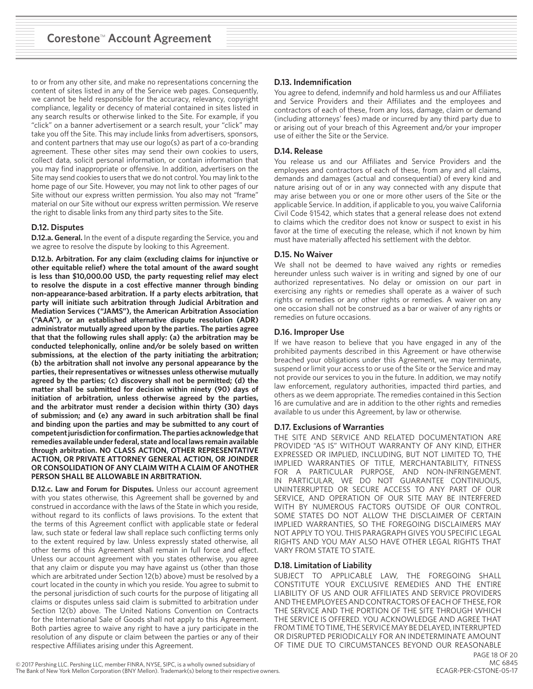to or from any other site, and make no representations concerning the content of sites listed in any of the Service web pages. Consequently, we cannot be held responsible for the accuracy, relevancy, copyright compliance, legality or decency of material contained in sites listed in any search results or otherwise linked to the Site. For example, if you "click" on a banner advertisement or a search result, your "click" may take you off the Site. This may include links from advertisers, sponsors, and content partners that may use our logo(s) as part of a co-branding agreement. These other sites may send their own cookies to users, collect data, solicit personal information, or contain information that you may find inappropriate or offensive. In addition, advertisers on the Site may send cookies to users that we do not control. You may link to the home page of our Site. However, you may not link to other pages of our Site without our express written permission. You also may not "frame" material on our Site without our express written permission. We reserve the right to disable links from any third party sites to the Site.

# **D.12. Disputes**

**D.12.a. General.** In the event of a dispute regarding the Service, you and we agree to resolve the dispute by looking to this Agreement.

**D.12.b. Arbitration. For any claim (excluding claims for injunctive or other equitable relief) where the total amount of the award sought is less than \$10,000.00 USD, the party requesting relief may elect to resolve the dispute in a cost effective manner through binding non-appearance-based arbitration. If a party elects arbitration, that party will initiate such arbitration through Judicial Arbitration and Mediation Services ("JAMS"), the American Arbitration Association ("AAA"), or an established alternative dispute resolution (ADR) administrator mutually agreed upon by the parties. The parties agree that that the following rules shall apply: (a) the arbitration may be conducted telephonically, online and/or be solely based on written submissions, at the election of the party initiating the arbitration; (b) the arbitration shall not involve any personal appearance by the parties, their representatives or witnesses unless otherwise mutually agreed by the parties; (c) discovery shall not be permitted; (d) the matter shall be submitted for decision within ninety (90) days of initiation of arbitration, unless otherwise agreed by the parties, and the arbitrator must render a decision within thirty (30) days of submission; and (e) any award in such arbitration shall be final and binding upon the parties and may be submitted to any court of competent jurisdiction for confirmation. The parties acknowledge that remedies available under federal, state and local laws remain available through arbitration. NO CLASS ACTION, OTHER REPRESENTATIVE ACTION, OR PRIVATE ATTORNEY GENERAL ACTION, OR JOINDER OR CONSOLIDATION OF ANY CLAIM WITH A CLAIM OF ANOTHER PERSON SHALL BE ALLOWABLE IN ARBITRATION.** 

**D.12.c. Law and Forum for Disputes.** Unless our account agreement with you states otherwise, this Agreement shall be governed by and construed in accordance with the laws of the State in which you reside, without regard to its conflicts of laws provisions. To the extent that the terms of this Agreement conflict with applicable state or federal law, such state or federal law shall replace such conflicting terms only to the extent required by law. Unless expressly stated otherwise, all other terms of this Agreement shall remain in full force and effect. Unless our account agreement with you states otherwise, you agree that any claim or dispute you may have against us (other than those which are arbitrated under Section 12(b) above) must be resolved by a court located in the county in which you reside. You agree to submit to the personal jurisdiction of such courts for the purpose of litigating all claims or disputes unless said claim is submitted to arbitration under Section 12(b) above. The United Nations Convention on Contracts for the International Sale of Goods shall not apply to this Agreement. Both parties agree to waive any right to have a jury participate in the resolution of any dispute or claim between the parties or any of their respective Affiliates arising under this Agreement.

# **D.13. Indemnification**

You agree to defend, indemnify and hold harmless us and our Affiliates and Service Providers and their Affiliates and the employees and contractors of each of these, from any loss, damage, claim or demand (including attorneys' fees) made or incurred by any third party due to or arising out of your breach of this Agreement and/or your improper use of either the Site or the Service.

# **D.14. Release**

You release us and our Affiliates and Service Providers and the employees and contractors of each of these, from any and all claims, demands and damages (actual and consequential) of every kind and nature arising out of or in any way connected with any dispute that may arise between you or one or more other users of the Site or the applicable Service. In addition, if applicable to you, you waive California Civil Code §1542, which states that a general release does not extend to claims which the creditor does not know or suspect to exist in his favor at the time of executing the release, which if not known by him must have materially affected his settlement with the debtor.

# **D.15. No Waiver**

We shall not be deemed to have waived any rights or remedies hereunder unless such waiver is in writing and signed by one of our authorized representatives. No delay or omission on our part in exercising any rights or remedies shall operate as a waiver of such rights or remedies or any other rights or remedies. A waiver on any one occasion shall not be construed as a bar or waiver of any rights or remedies on future occasions.

# **D.16. Improper Use**

If we have reason to believe that you have engaged in any of the prohibited payments described in this Agreement or have otherwise breached your obligations under this Agreement, we may terminate, suspend or limit your access to or use of the Site or the Service and may not provide our services to you in the future. In addition, we may notify law enforcement, regulatory authorities, impacted third parties, and others as we deem appropriate. The remedies contained in this Section 16 are cumulative and are in addition to the other rights and remedies available to us under this Agreement, by law or otherwise.

### **D.17. Exclusions of Warranties**

THE SITE AND SERVICE AND RELATED DOCUMENTATION ARE PROVIDED "AS IS" WITHOUT WARRANTY OF ANY KIND, EITHER EXPRESSED OR IMPLIED, INCLUDING, BUT NOT LIMITED TO, THE IMPLIED WARRANTIES OF TITLE, MERCHANTABILITY, FITNESS FOR A PARTICULAR PURPOSE, AND NON-INFRINGEMENT. IN PARTICULAR, WE DO NOT GUARANTEE CONTINUOUS, UNINTERRUPTED OR SECURE ACCESS TO ANY PART OF OUR SERVICE, AND OPERATION OF OUR SITE MAY BE INTERFERED WITH BY NUMEROUS FACTORS OUTSIDE OF OUR CONTROL. SOME STATES DO NOT ALLOW THE DISCLAIMER OF CERTAIN IMPLIED WARRANTIES, SO THE FOREGOING DISCLAIMERS MAY NOT APPLY TO YOU. THIS PARAGRAPH GIVES YOU SPECIFIC LEGAL RIGHTS AND YOU MAY ALSO HAVE OTHER LEGAL RIGHTS THAT VARY FROM STATE TO STATE.

# **D.18. Limitation of Liability**

SUBJECT TO APPLICABLE LAW, THE FOREGOING SHALL CONSTITUTE YOUR EXCLUSIVE REMEDIES AND THE ENTIRE LIABILITY OF US AND OUR AFFILIATES AND SERVICE PROVIDERS AND THE EMPLOYEES AND CONTRACTORS OF EACH OF THESE, FOR THE SERVICE AND THE PORTION OF THE SITE THROUGH WHICH THE SERVICE IS OFFERED. YOU ACKNOWLEDGE AND AGREE THAT FROM TIME TO TIME, THE SERVICE MAY BE DELAYED, INTERRUPTED OR DISRUPTED PERIODICALLY FOR AN INDETERMINATE AMOUNT OF TIME DUE TO CIRCUMSTANCES BEYOND OUR REASONABLE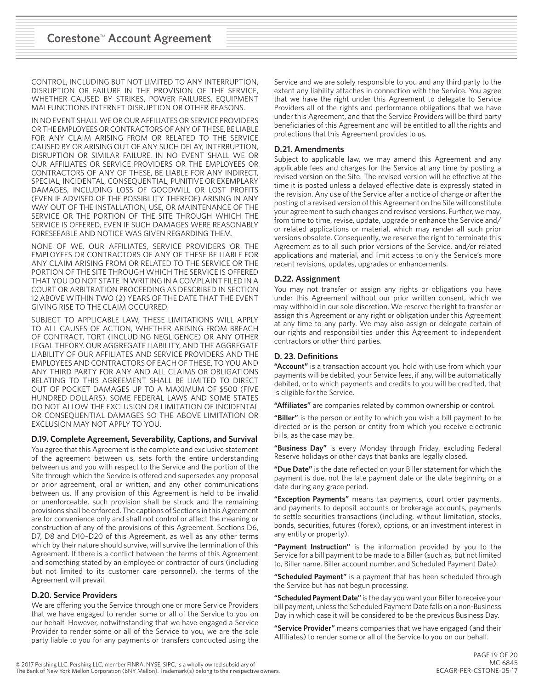CONTROL, INCLUDING BUT NOT LIMITED TO ANY INTERRUPTION, DISRUPTION OR FAILURE IN THE PROVISION OF THE SERVICE, WHETHER CAUSED BY STRIKES, POWER FAILURES, EQUIPMENT MALFUNCTIONS INTERNET DISRUPTION OR OTHER REASONS.

IN NO EVENT SHALL WE OR OUR AFFILIATES OR SERVICE PROVIDERS OR THE EMPLOYEES OR CONTRACTORS OF ANY OF THESE, BE LIABLE FOR ANY CLAIM ARISING FROM OR RELATED TO THE SERVICE CAUSED BY OR ARISING OUT OF ANY SUCH DELAY, INTERRUPTION, DISRUPTION OR SIMILAR FAILURE. IN NO EVENT SHALL WE OR OUR AFFILIATES OR SERVICE PROVIDERS OR THE EMPLOYEES OR CONTRACTORS OF ANY OF THESE, BE LIABLE FOR ANY INDIRECT, SPECIAL, INCIDENTAL, CONSEQUENTIAL, PUNITIVE OR EXEMPLARY DAMAGES, INCLUDING LOSS OF GOODWILL OR LOST PROFITS (EVEN IF ADVISED OF THE POSSIBILITY THEREOF) ARISING IN ANY WAY OUT OF THE INSTALLATION, USE, OR MAINTENANCE OF THE SERVICE OR THE PORTION OF THE SITE THROUGH WHICH THE SERVICE IS OFFERED, EVEN IF SUCH DAMAGES WERE REASONABLY FORESEEABLE AND NOTICE WAS GIVEN REGARDING THEM.

NONE OF WE, OUR AFFILIATES, SERVICE PROVIDERS OR THE EMPLOYEES OR CONTRACTORS OF ANY OF THESE BE LIABLE FOR ANY CLAIM ARISING FROM OR RELATED TO THE SERVICE OR THE PORTION OF THE SITE THROUGH WHICH THE SERVICE IS OFFERED THAT YOU DO NOT STATE IN WRITING IN A COMPLAINT FILED IN A COURT OR ARBITRATION PROCEEDING AS DESCRIBED IN SECTION 12 ABOVE WITHIN TWO (2) YEARS OF THE DATE THAT THE EVENT GIVING RISE TO THE CLAIM OCCURRED.

SUBJECT TO APPLICABLE LAW, THESE LIMITATIONS WILL APPLY TO ALL CAUSES OF ACTION, WHETHER ARISING FROM BREACH OF CONTRACT, TORT (INCLUDING NEGLIGENCE) OR ANY OTHER LEGAL THEORY. OUR AGGREGATE LIABILITY, AND THE AGGREGATE LIABILITY OF OUR AFFILIATES AND SERVICE PROVIDERS AND THE EMPLOYEES AND CONTRACTORS OF EACH OF THESE, TO YOU AND ANY THIRD PARTY FOR ANY AND ALL CLAIMS OR OBLIGATIONS RELATING TO THIS AGREEMENT SHALL BE LIMITED TO DIRECT OUT OF POCKET DAMAGES UP TO A MAXIMUM OF \$500 (FIVE HUNDRED DOLLARS). SOME FEDERAL LAWS AND SOME STATES DO NOT ALLOW THE EXCLUSION OR LIMITATION OF INCIDENTAL OR CONSEQUENTIAL DAMAGES SO THE ABOVE LIMITATION OR EXCLUSION MAY NOT APPLY TO YOU.

# **D.19. Complete Agreement, Severability, Captions, and Survival**

You agree that this Agreement is the complete and exclusive statement of the agreement between us, sets forth the entire understanding between us and you with respect to the Service and the portion of the Site through which the Service is offered and supersedes any proposal or prior agreement, oral or written, and any other communications between us. If any provision of this Agreement is held to be invalid or unenforceable, such provision shall be struck and the remaining provisions shall be enforced. The captions of Sections in this Agreement are for convenience only and shall not control or affect the meaning or construction of any of the provisions of this Agreement. Sections D6, D7, D8 and D10–D20 of this Agreement, as well as any other terms which by their nature should survive, will survive the termination of this Agreement. If there is a conflict between the terms of this Agreement and something stated by an employee or contractor of ours (including but not limited to its customer care personnel), the terms of the Agreement will prevail.

# **D.20. Service Providers**

We are offering you the Service through one or more Service Providers that we have engaged to render some or all of the Service to you on our behalf. However, notwithstanding that we have engaged a Service Provider to render some or all of the Service to you, we are the sole party liable to you for any payments or transfers conducted using the

Service and we are solely responsible to you and any third party to the extent any liability attaches in connection with the Service. You agree that we have the right under this Agreement to delegate to Service Providers all of the rights and performance obligations that we have under this Agreement, and that the Service Providers will be third party beneficiaries of this Agreement and will be entitled to all the rights and protections that this Agreement provides to us.

## **D.21. Amendments**

Subject to applicable law, we may amend this Agreement and any applicable fees and charges for the Service at any time by posting a revised version on the Site. The revised version will be effective at the time it is posted unless a delayed effective date is expressly stated in the revision. Any use of the Service after a notice of change or after the posting of a revised version of this Agreement on the Site will constitute your agreement to such changes and revised versions. Further, we may, from time to time, revise, update, upgrade or enhance the Service and/ or related applications or material, which may render all such prior versions obsolete. Consequently, we reserve the right to terminate this Agreement as to all such prior versions of the Service, and/or related applications and material, and limit access to only the Service's more recent revisions, updates, upgrades or enhancements.

### **D.22. Assignment**

You may not transfer or assign any rights or obligations you have under this Agreement without our prior written consent, which we may withhold in our sole discretion. We reserve the right to transfer or assign this Agreement or any right or obligation under this Agreement at any time to any party. We may also assign or delegate certain of our rights and responsibilities under this Agreement to independent contractors or other third parties.

# **D. 23. Definitions**

**"Account"** is a transaction account you hold with use from which your payments will be debited, your Service fees, if any, will be automatically debited, or to which payments and credits to you will be credited, that is eligible for the Service.

**"Affiliates"** are companies related by common ownership or control.

**"Biller"** is the person or entity to which you wish a bill payment to be directed or is the person or entity from which you receive electronic bills, as the case may be.

**"Business Day"** is every Monday through Friday, excluding Federal Reserve holidays or other days that banks are legally closed.

**"Due Date"** is the date reflected on your Biller statement for which the payment is due, not the late payment date or the date beginning or a date during any grace period.

**"Exception Payments"** means tax payments, court order payments, and payments to deposit accounts or brokerage accounts, payments to settle securities transactions (including, without limitation, stocks, bonds, securities, futures (forex), options, or an investment interest in any entity or property).

**"Payment Instruction"** is the information provided by you to the Service for a bill payment to be made to a Biller (such as, but not limited to, Biller name, Biller account number, and Scheduled Payment Date).

**"Scheduled Payment"** is a payment that has been scheduled through the Service but has not begun processing.

**"Scheduled Payment Date"** is the day you want your Biller to receive your bill payment, unless the Scheduled Payment Date falls on a non-Business Day in which case it will be considered to be the previous Business Day.

**"Service Provider"** means companies that we have engaged (and their Affiliates) to render some or all of the Service to you on our behalf.